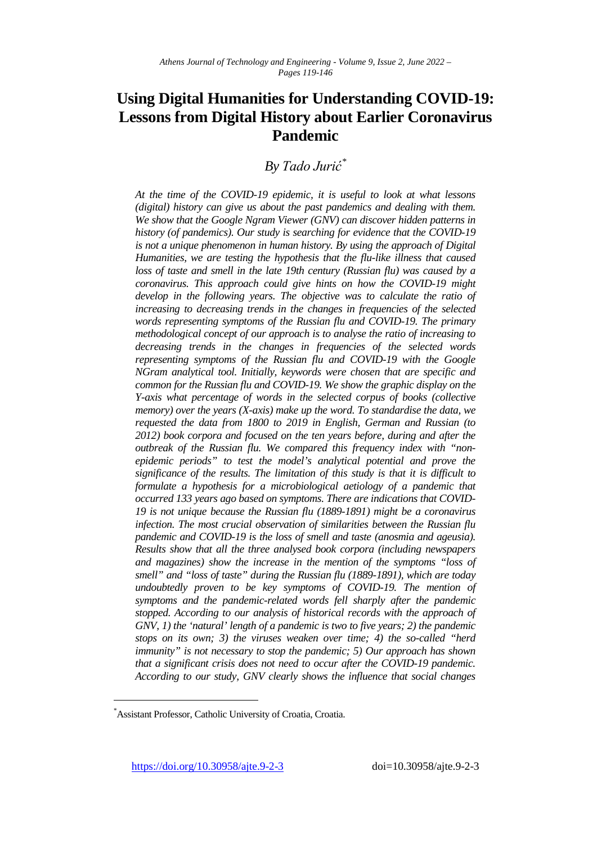# **Using Digital Humanities for Understanding COVID-19: Lessons from Digital History about Earlier Coronavirus Pandemic**

*By Tado Jurić[\\*](#page-0-0)*

*At the time of the COVID-19 epidemic, it is useful to look at what lessons (digital) history can give us about the past pandemics and dealing with them. We show that the Google Ngram Viewer (GNV) can discover hidden patterns in history (of pandemics). Our study is searching for evidence that the COVID-19 is not a unique phenomenon in human history. By using the approach of Digital Humanities, we are testing the hypothesis that the flu-like illness that caused loss of taste and smell in the late 19th century (Russian flu) was caused by a coronavirus. This approach could give hints on how the COVID-19 might develop in the following years. The objective was to calculate the ratio of increasing to decreasing trends in the changes in frequencies of the selected words representing symptoms of the Russian flu and COVID-19. The primary methodological concept of our approach is to analyse the ratio of increasing to decreasing trends in the changes in frequencies of the selected words representing symptoms of the Russian flu and COVID-19 with the Google NGram analytical tool. Initially, keywords were chosen that are specific and common for the Russian flu and COVID-19. We show the graphic display on the Y-axis what percentage of words in the selected corpus of books (collective memory) over the years (X-axis) make up the word. To standardise the data, we requested the data from 1800 to 2019 in English, German and Russian (to 2012) book corpora and focused on the ten years before, during and after the outbreak of the Russian flu. We compared this frequency index with "nonepidemic periods" to test the model's analytical potential and prove the significance of the results. The limitation of this study is that it is difficult to formulate a hypothesis for a microbiological aetiology of a pandemic that occurred 133 years ago based on symptoms. There are indications that COVID-19 is not unique because the Russian flu (1889-1891) might be a coronavirus infection. The most crucial observation of similarities between the Russian flu pandemic and COVID-19 is the loss of smell and taste (anosmia and ageusia). Results show that all the three analysed book corpora (including newspapers and magazines) show the increase in the mention of the symptoms "loss of smell" and "loss of taste" during the Russian flu (1889-1891), which are today undoubtedly proven to be key symptoms of COVID-19. The mention of symptoms and the pandemic-related words fell sharply after the pandemic stopped. According to our analysis of historical records with the approach of GNV, 1) the 'natural' length of a pandemic is two to five years; 2) the pandemic stops on its own; 3) the viruses weaken over time; 4) the so-called "herd immunity" is not necessary to stop the pandemic; 5) Our approach has shown that a significant crisis does not need to occur after the COVID-19 pandemic. According to our study, GNV clearly shows the influence that social changes* 

<https://doi.org/10.30958/ajte.9-2-3>doi=10.30958/ajte.9-2-3

<span id="page-0-0"></span><sup>\*</sup> Assistant Professor, Catholic University of Croatia, Croatia.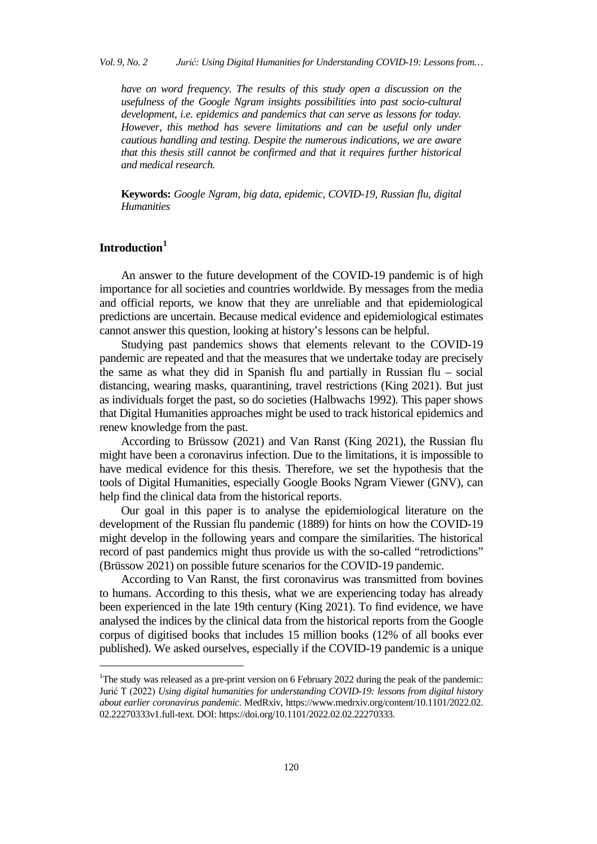*have on word frequency. The results of this study open a discussion on the usefulness of the Google Ngram insights possibilities into past socio-cultural development, i.e. epidemics and pandemics that can serve as lessons for today. However, this method has severe limitations and can be useful only under cautious handling and testing. Despite the numerous indications, we are aware that this thesis still cannot be confirmed and that it requires further historical and medical research.*

**Keywords:** *Google Ngram, big data, epidemic, COVID-19, Russian flu, digital Humanities*

## **Introduction[1](#page-1-0)**

j

An answer to the future development of the COVID-19 pandemic is of high importance for all societies and countries worldwide. By messages from the media and official reports, we know that they are unreliable and that epidemiological predictions are uncertain. Because medical evidence and epidemiological estimates cannot answer this question, looking at history's lessons can be helpful.

Studying past pandemics shows that elements relevant to the COVID-19 pandemic are repeated and that the measures that we undertake today are precisely the same as what they did in Spanish flu and partially in Russian flu – social distancing, wearing masks, quarantining, travel restrictions (King 2021). But just as individuals forget the past, so do societies (Halbwachs 1992). This paper shows that Digital Humanities approaches might be used to track historical epidemics and renew knowledge from the past.

According to Brüssow (2021) and Van Ranst (King 2021), the Russian flu might have been a coronavirus infection. Due to the limitations, it is impossible to have medical evidence for this thesis. Therefore, we set the hypothesis that the tools of Digital Humanities, especially Google Books Ngram Viewer (GNV), can help find the clinical data from the historical reports.

Our goal in this paper is to analyse the epidemiological literature on the development of the Russian flu pandemic (1889) for hints on how the COVID-19 might develop in the following years and compare the similarities. The historical record of past pandemics might thus provide us with the so-called "retrodictions" (Brüssow 2021) on possible future scenarios for the COVID-19 pandemic.

According to Van Ranst, the first coronavirus was transmitted from bovines to humans. According to this thesis, what we are experiencing today has already been experienced in the late 19th century (King 2021). To find evidence, we have analysed the indices by the clinical data from the historical reports from the Google corpus of digitised books that includes 15 million books (12% of all books ever published). We asked ourselves, especially if the COVID-19 pandemic is a unique

<span id="page-1-0"></span><sup>&</sup>lt;sup>1</sup>The study was released as a pre-print version on 6 February 2022 during the peak of the pandemic: Jurić T (2022) *Using digital humanities for understanding COVID-19: lessons from digital history about earlier coronavirus pandemic*. MedRxiv, https://www.medrxiv.org/content/10.1101/2022.02. 02.22270333v1.full-text. DOI: https://doi.org/10.1101/2022.02.02.22270333.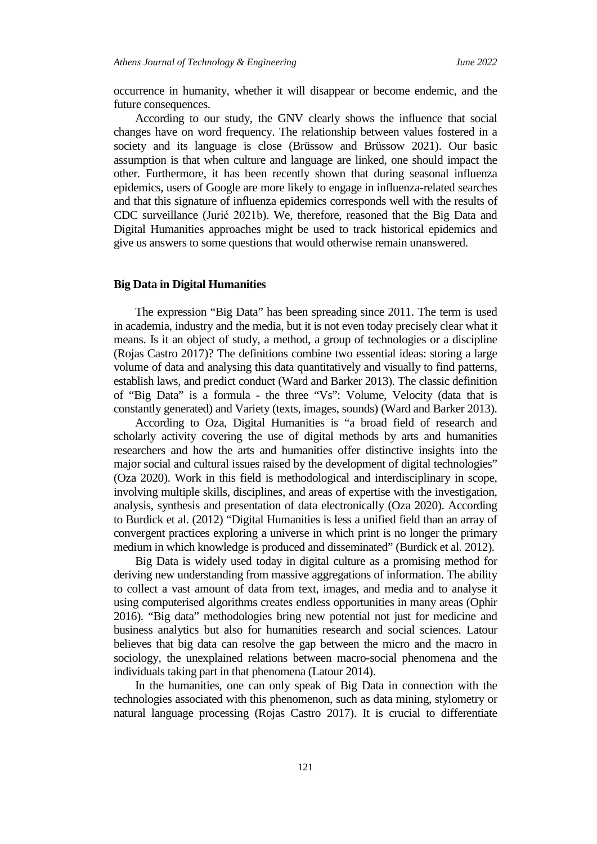occurrence in humanity, whether it will disappear or become endemic, and the future consequences.

According to our study, the GNV clearly shows the influence that social changes have on word frequency. The relationship between values fostered in a society and its language is close (Brüssow and Brüssow 2021). Our basic assumption is that when culture and language are linked, one should impact the other. Furthermore, it has been recently shown that during seasonal influenza epidemics, users of Google are more likely to engage in influenza-related searches and that this signature of influenza epidemics corresponds well with the results of CDC surveillance (Jurić 2021b). We, therefore, reasoned that the Big Data and Digital Humanities approaches might be used to track historical epidemics and give us answers to some questions that would otherwise remain unanswered.

#### **Big Data in Digital Humanities**

The expression "Big Data" has been spreading since 2011. The term is used in academia, industry and the media, but it is not even today precisely clear what it means. Is it an object of study, a method, a group of technologies or a discipline (Rojas Castro 2017)? The definitions combine two essential ideas: storing a large volume of data and analysing this data quantitatively and visually to find patterns, establish laws, and predict conduct (Ward and Barker 2013). The classic definition of "Big Data" is a formula - the three "Vs": Volume, Velocity (data that is constantly generated) and Variety (texts, images, sounds) (Ward and Barker 2013).

According to Oza, Digital Humanities is "a broad field of research and scholarly activity covering the use of digital methods by arts and humanities researchers and how the arts and humanities offer distinctive insights into the major social and cultural issues raised by the development of digital technologies" (Oza 2020). Work in this field is methodological and interdisciplinary in scope, involving multiple skills, disciplines, and areas of expertise with the investigation, analysis, synthesis and presentation of data electronically (Oza 2020). According to Burdick et al. (2012) "Digital Humanities is less a unified field than an array of convergent practices exploring a universe in which print is no longer the primary medium in which knowledge is produced and disseminated" (Burdick et al. 2012).

Big Data is widely used today in digital culture as a promising method for deriving new understanding from massive aggregations of information. The ability to collect a vast amount of data from text, images, and media and to analyse it using computerised algorithms creates endless opportunities in many areas (Ophir 2016). "Big data" methodologies bring new potential not just for medicine and business analytics but also for humanities research and social sciences. Latour believes that big data can resolve the gap between the micro and the macro in sociology, the unexplained relations between macro-social phenomena and the individuals taking part in that phenomena (Latour 2014).

In the humanities, one can only speak of Big Data in connection with the technologies associated with this phenomenon, such as data mining, stylometry or natural language processing (Rojas Castro 2017). It is crucial to differentiate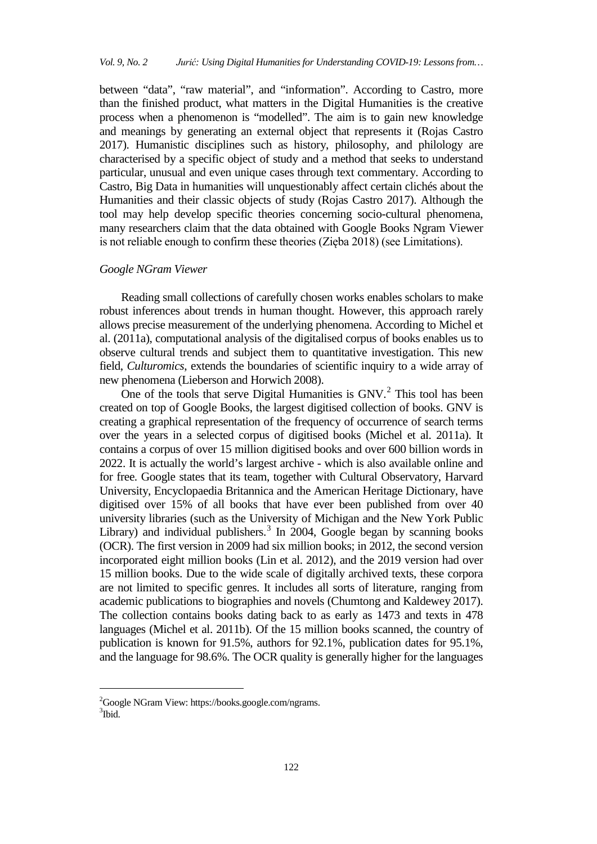between "data", "raw material", and "information". According to Castro, more than the finished product, what matters in the Digital Humanities is the creative process when a phenomenon is "modelled". The aim is to gain new knowledge and meanings by generating an external object that represents it (Rojas Castro 2017). Humanistic disciplines such as history, philosophy, and philology are characterised by a specific object of study and a method that seeks to understand particular, unusual and even unique cases through text commentary. According to Castro, Big Data in humanities will unquestionably affect certain clichés about the Humanities and their classic objects of study (Rojas Castro 2017). Although the tool may help develop specific theories concerning socio-cultural phenomena, many researchers claim that the data obtained with Google Books Ngram Viewer is not reliable enough to confirm these theories (Zięba 2018) (see Limitations).

## *Google NGram Viewer*

Reading small collections of carefully chosen works enables scholars to make robust inferences about trends in human thought. However, this approach rarely allows precise measurement of the underlying phenomena. According to Michel et al. (2011a), computational analysis of the digitalised corpus of books enables us to observe cultural trends and subject them to quantitative investigation. This new field, *Culturomics*, extends the boundaries of scientific inquiry to a wide array of new phenomena (Lieberson and Horwich 2008).

One of the tools that serve Digital Humanities is GNV.<sup>[2](#page-3-0)</sup> This tool has been created on top of Google Books, the largest digitised collection of books. GNV is creating a graphical representation of the frequency of occurrence of search terms over the years in a selected corpus of digitised books (Michel et al. 2011a). It contains a corpus of over 15 million digitised books and over 600 billion words in 2022. It is actually the world's largest archive - which is also available online and for free. Google states that its team, together with Cultural Observatory, Harvard University, Encyclopaedia Britannica and the American Heritage Dictionary, have digitised over 15% of all books that have ever been published from over 40 university libraries (such as the University of Michigan and the New York Public Library) and individual publishers.<sup>[3](#page-3-1)</sup> In 2004, Google began by scanning books (OCR). The first version in 2009 had six million books; in 2012, the second version incorporated eight million books (Lin et al. 2012), and the 2019 version had over 15 million books. Due to the wide scale of digitally archived texts, these corpora are not limited to specific genres. It includes all sorts of literature, ranging from academic publications to biographies and novels (Chumtong and Kaldewey 2017). The collection contains books dating back to as early as 1473 and texts in 478 languages (Michel et al. 2011b). Of the 15 million books scanned, the country of publication is known for 91.5%, authors for 92.1%, publication dates for 95.1%, and the language for 98.6%. The OCR quality is generally higher for the languages

<span id="page-3-1"></span><span id="page-3-0"></span><sup>&</sup>lt;sup>2</sup>Google NGram View: https://books.google.com/ngrams. 3 Ibid.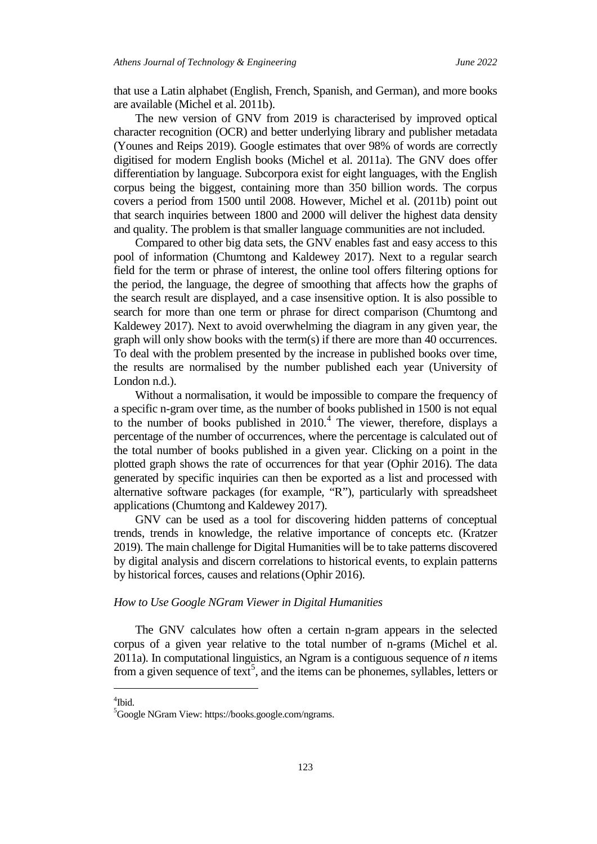that use a Latin alphabet (English, French, Spanish, and German), and more books are available (Michel et al. 2011b).

The new version of GNV from 2019 is characterised by improved optical character recognition (OCR) and better underlying library and publisher metadata (Younes and Reips 2019). Google estimates that over 98% of words are correctly digitised for modern English books (Michel et al. 2011a). The GNV does offer differentiation by language. Subcorpora exist for eight languages, with the English corpus being the biggest, containing more than 350 billion words. The corpus covers a period from 1500 until 2008. However, Michel et al. (2011b) point out that search inquiries between 1800 and 2000 will deliver the highest data density and quality. The problem is that smaller language communities are not included.

Compared to other big data sets, the GNV enables fast and easy access to this pool of information (Chumtong and Kaldewey 2017). Next to a regular search field for the term or phrase of interest, the online tool offers filtering options for the period, the language, the degree of smoothing that affects how the graphs of the search result are displayed, and a case insensitive option. It is also possible to search for more than one term or phrase for direct comparison (Chumtong and Kaldewey 2017). Next to avoid overwhelming the diagram in any given year, the graph will only show books with the term(s) if there are more than 40 occurrences. To deal with the problem presented by the increase in published books over time, the results are normalised by the number published each year (University of London n.d.).

Without a normalisation, it would be impossible to compare the frequency of a specific n-gram over time, as the number of books published in 1500 is not equal to the number of books published in  $2010<sup>4</sup>$  $2010<sup>4</sup>$  $2010<sup>4</sup>$ . The viewer, therefore, displays a percentage of the number of occurrences, where the percentage is calculated out of the total number of books published in a given year. Clicking on a point in the plotted graph shows the rate of occurrences for that year (Ophir 2016). The data generated by specific inquiries can then be exported as a list and processed with alternative software packages (for example, "R"), particularly with spreadsheet applications (Chumtong and Kaldewey 2017).

GNV can be used as a tool for discovering hidden patterns of conceptual trends, trends in knowledge, the relative importance of concepts etc. (Kratzer 2019). The main challenge for Digital Humanities will be to take patterns discovered by digital analysis and discern correlations to historical events, to explain patterns by historical forces, causes and relations(Ophir 2016).

#### *How to Use Google NGram Viewer in Digital Humanities*

The GNV calculates how often a certain n-gram appears in the selected corpus of a given year relative to the total number of n-grams (Michel et al. 2011a). In computational linguistics, an Ngram is a contiguous sequence of *n* items from a given sequence of text<sup>[5](#page-4-1)</sup>, and the items can be phonemes, syllables, letters or

## <span id="page-4-0"></span>4 Ibid.

<span id="page-4-1"></span><sup>5</sup> Google NGram View: https://books.google.com/ngrams.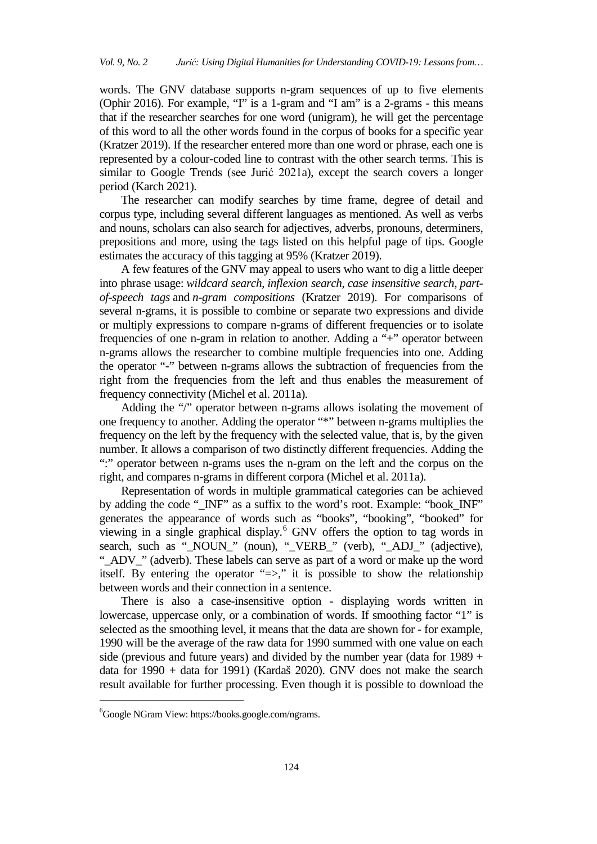words. The GNV database supports n-gram sequences of up to five elements (Ophir 2016). For example, "I" is a 1-gram and "I am" is a 2-grams - this means that if the researcher searches for one word (unigram), he will get the percentage of this word to all the other words found in the corpus of books for a specific year (Kratzer 2019). If the researcher entered more than one word or phrase, each one is represented by a colour-coded line to contrast with the other search terms. This is similar to Google Trends (see Jurić 2021a), except the search covers a longer period (Karch 2021).

The researcher can modify searches by time frame, degree of detail and corpus type, including several different languages as mentioned. As well as verbs and nouns, scholars can also search for adjectives, adverbs, pronouns, determiners, prepositions and more, using the tags listed on this helpful page of tips. Google estimates the accuracy of this tagging at 95% (Kratzer 2019).

A few features of the GNV may appeal to users who want to dig a little deeper into phrase usage: *wildcard search*, *inflexion search*, *case insensitive search*, *partof-speech tags* and *n-gram compositions* (Kratzer 2019). For comparisons of several n-grams, it is possible to combine or separate two expressions and divide or multiply expressions to compare n-grams of different frequencies or to isolate frequencies of one n-gram in relation to another. Adding a "+" operator between n-grams allows the researcher to combine multiple frequencies into one. Adding the operator "-" between n-grams allows the subtraction of frequencies from the right from the frequencies from the left and thus enables the measurement of frequency connectivity (Michel et al. 2011a).

Adding the "/" operator between n-grams allows isolating the movement of one frequency to another. Adding the operator "\*" between n-grams multiplies the frequency on the left by the frequency with the selected value, that is, by the given number. It allows a comparison of two distinctly different frequencies. Adding the ":" operator between n-grams uses the n-gram on the left and the corpus on the right, and compares n-grams in different corpora (Michel et al. 2011a).

Representation of words in multiple grammatical categories can be achieved by adding the code "\_INF" as a suffix to the word's root. Example: "book\_INF" generates the appearance of words such as "books", "booking", "booked" for viewing in a single graphical display.<sup>[6](#page-5-0)</sup> GNV offers the option to tag words in search, such as "\_NOUN\_" (noun), "\_VERB\_" (verb), "\_ADJ\_" (adjective), "\_ADV\_" (adverb). These labels can serve as part of a word or make up the word itself. By entering the operator "=>," it is possible to show the relationship between words and their connection in a sentence.

There is also a case-insensitive option - displaying words written in lowercase, uppercase only, or a combination of words. If smoothing factor "1" is selected as the smoothing level, it means that the data are shown for - for example, 1990 will be the average of the raw data for 1990 summed with one value on each side (previous and future years) and divided by the number year (data for  $1989 +$ data for 1990 + data for 1991) (Kardaš 2020). GNV does not make the search result available for further processing. Even though it is possible to download the

<span id="page-5-0"></span><sup>6</sup> Google NGram View: https://books.google.com/ngrams.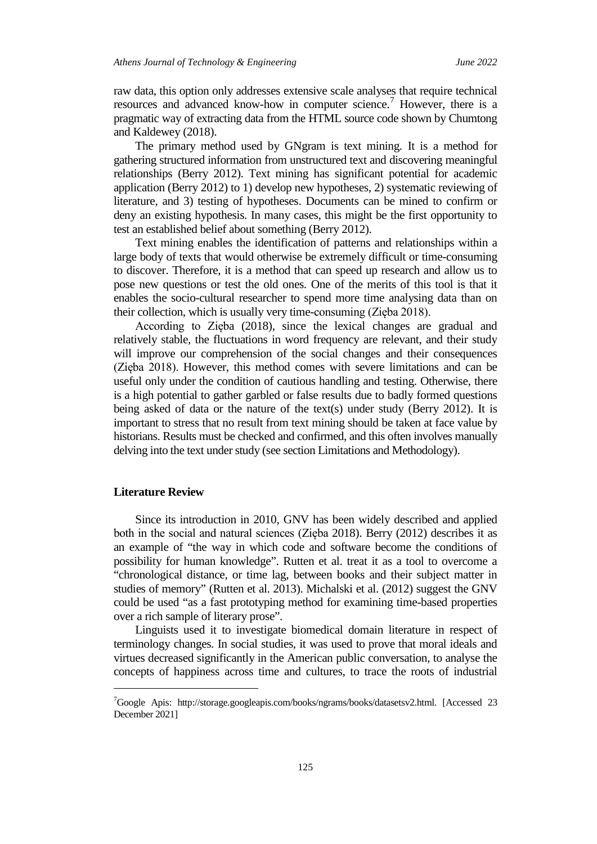raw data, this option only addresses extensive scale analyses that require technical resources and advanced know-how in computer science.<sup>[7](#page-6-0)</sup> However, there is a pragmatic way of extracting data from the HTML source code shown by Chumtong and Kaldewey (2018).

The primary method used by GNgram is text mining. It is a method for gathering structured information from unstructured text and discovering meaningful relationships (Berry 2012). Text mining has significant potential for academic application (Berry 2012) to 1) develop new hypotheses, 2) systematic reviewing of literature, and 3) testing of hypotheses. Documents can be mined to confirm or deny an existing hypothesis. In many cases, this might be the first opportunity to test an established belief about something (Berry 2012).

Text mining enables the identification of patterns and relationships within a large body of texts that would otherwise be extremely difficult or time-consuming to discover. Therefore, it is a method that can speed up research and allow us to pose new questions or test the old ones. One of the merits of this tool is that it enables the socio-cultural researcher to spend more time analysing data than on their collection, which is usually very time-consuming (Zięba 2018).

According to Zięba (2018), since the lexical changes are gradual and relatively stable, the fluctuations in word frequency are relevant, and their study will improve our comprehension of the social changes and their consequences (Zięba 2018). However, this method comes with severe limitations and can be useful only under the condition of cautious handling and testing. Otherwise, there is a high potential to gather garbled or false results due to badly formed questions being asked of data or the nature of the text(s) under study (Berry 2012). It is important to stress that no result from text mining should be taken at face value by historians. Results must be checked and confirmed, and this often involves manually delving into the text under study (see section Limitations and Methodology).

#### **Literature Review**

j

Since its introduction in 2010, GNV has been widely described and applied both in the social and natural sciences (Zięba 2018). Berry (2012) describes it as an example of "the way in which code and software become the conditions of possibility for human knowledge". Rutten et al. treat it as a tool to overcome a "chronological distance, or time lag, between books and their subject matter in studies of memory" (Rutten et al. 2013). Michalski et al. (2012) suggest the GNV could be used "as a fast prototyping method for examining time-based properties over a rich sample of literary prose".

Linguists used it to investigate biomedical domain literature in respect of terminology changes. In social studies, it was used to prove that moral ideals and virtues decreased significantly in the American public conversation, to analyse the concepts of happiness across time and cultures, to trace the roots of industrial

<span id="page-6-0"></span><sup>&</sup>lt;sup>7</sup>Google Apis: http://storage.googleapis.com/books/ngrams/books/datasetsv2.html. [Accessed 23 December 2021]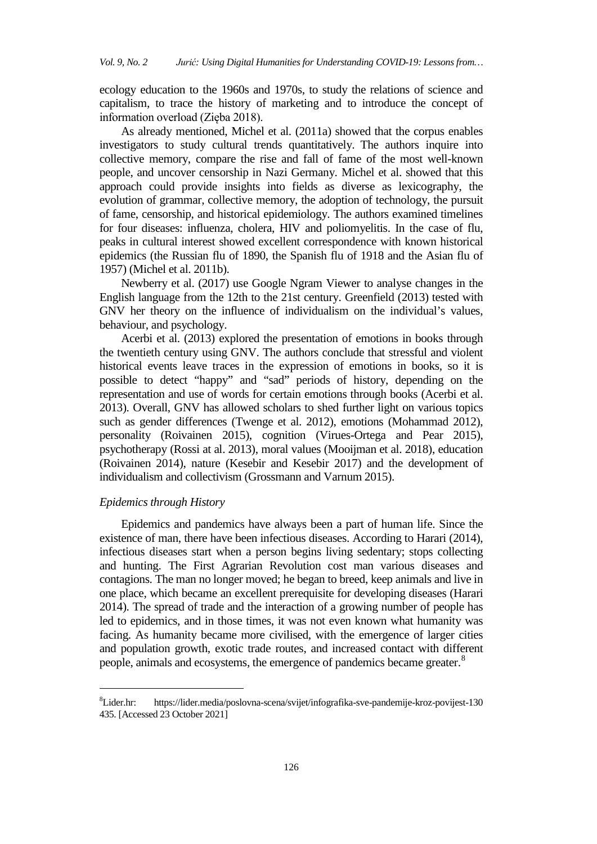ecology education to the 1960s and 1970s, to study the relations of science and capitalism, to trace the history of marketing and to introduce the concept of information overload (Zięba 2018).

As already mentioned, Michel et al. (2011a) showed that the corpus enables investigators to study cultural trends quantitatively. The authors inquire into collective memory, compare the rise and fall of fame of the most well-known people, and uncover censorship in Nazi Germany. Michel et al. showed that this approach could provide insights into fields as diverse as lexicography, the evolution of grammar, collective memory, the adoption of technology, the pursuit of fame, censorship, and historical epidemiology. The authors examined timelines for four diseases: influenza, cholera, HIV and poliomyelitis. In the case of flu, peaks in cultural interest showed excellent correspondence with known historical epidemics (the Russian flu of 1890, the Spanish flu of 1918 and the Asian flu of 1957) (Michel et al. 2011b).

Newberry et al. (2017) use Google Ngram Viewer to analyse changes in the English language from the 12th to the 21st century. Greenfield (2013) tested with GNV her theory on the influence of individualism on the individual's values, behaviour, and psychology.

Acerbi et al. (2013) explored the presentation of emotions in books through the twentieth century using GNV. The authors conclude that stressful and violent historical events leave traces in the expression of emotions in books, so it is possible to detect "happy" and "sad" periods of history, depending on the representation and use of words for certain emotions through books (Acerbi et al. 2013). Overall, GNV has allowed scholars to shed further light on various topics such as gender differences (Twenge et al. 2012), emotions (Mohammad 2012), personality (Roivainen 2015), cognition (Virues-Ortega and Pear 2015), psychotherapy (Rossi at al. 2013), moral values (Mooijman et al. 2018), education (Roivainen 2014), nature (Kesebir and Kesebir 2017) and the development of individualism and collectivism (Grossmann and Varnum 2015).

## *Epidemics through History*

j

Epidemics and pandemics have always been a part of human life. Since the existence of man, there have been infectious diseases. According to Harari (2014), infectious diseases start when a person begins living sedentary; stops collecting and hunting. The First Agrarian Revolution cost man various diseases and contagions. The man no longer moved; he began to breed, keep animals and live in one place, which became an excellent prerequisite for developing diseases (Harari 2014). The spread of trade and the interaction of a growing number of people has led to epidemics, and in those times, it was not even known what humanity was facing. As humanity became more civilised, with the emergence of larger cities and population growth, exotic trade routes, and increased contact with different people, animals and ecosystems, the emergence of pandemics became greater.<sup>[8](#page-7-0)</sup>

<span id="page-7-0"></span> ${}^{8}$ Lider.hr: Lider.hr: https://lider.media/poslovna-scena/svijet/infografika-sve-pandemije-kroz-povijest-130 435. [Accessed 23 October 2021]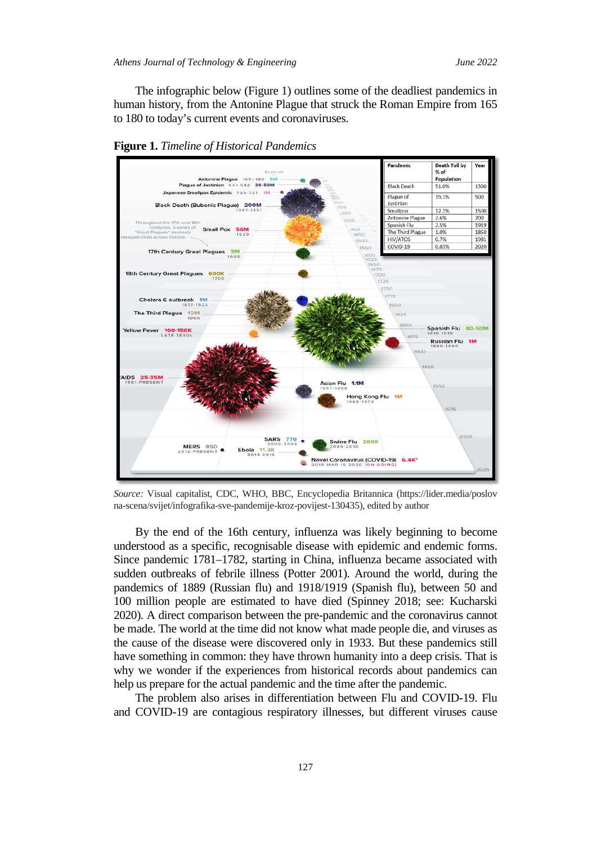The infographic below (Figure 1) outlines some of the deadliest pandemics in human history, from the Antonine Plague that struck the Roman Empire from 165 to 180 to today's current events and coronaviruses.



**Figure 1.** *Timeline of Historical Pandemics*

*Source:* Visual capitalist, CDC, WHO, BBC, Encyclopedia Britannica (https://lider.media/poslov na-scena/svijet/infografika-sve-pandemije-kroz-povijest-130435), edited by author

By the end of the 16th century, influenza was likely beginning to become understood as a specific, recognisable disease with epidemic and endemic forms. Since pandemic 1781–1782, starting in China, influenza became associated with sudden outbreaks of febrile illness (Potter 2001). Around the world, during the pandemics of 1889 (Russian flu) and 1918/1919 (Spanish flu), between 50 and 100 million people are estimated to have died (Spinney 2018; see: Kucharski 2020). A direct comparison between the pre-pandemic and the coronavirus cannot be made. The world at the time did not know what made people die, and viruses as the cause of the disease were discovered only in 1933. But these pandemics still have something in common: they have thrown humanity into a deep crisis. That is why we wonder if the experiences from historical records about pandemics can help us prepare for the actual pandemic and the time after the pandemic.

The problem also arises in differentiation between Flu and COVID-19. Flu and COVID-19 are contagious respiratory illnesses, but different viruses cause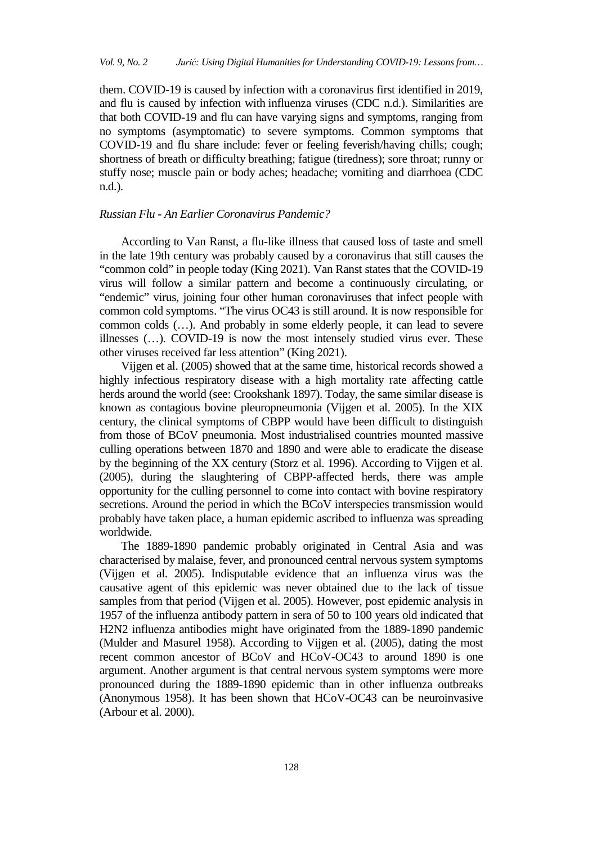them. COVID-19 is caused by infection with a coronavirus first identified in 2019, and flu is caused by infection with influenza viruses (CDC n.d.). Similarities are that both COVID-19 and flu can have varying signs and symptoms, ranging from no symptoms (asymptomatic) to severe symptoms. Common symptoms that COVID-19 and flu share include: fever or feeling feverish/having chills; cough; shortness of breath or difficulty breathing; fatigue (tiredness); sore throat; runny or stuffy nose; muscle pain or body aches; headache; vomiting and diarrhoea (CDC n.d.).

## *Russian Flu - An Earlier Coronavirus Pandemic?*

According to Van Ranst, a flu-like illness that caused loss of taste and smell in the late 19th century was probably caused by a coronavirus that still causes the "common cold" in people today (King 2021). Van Ranst states that the COVID-19 virus will follow a similar pattern and become a continuously circulating, or "endemic" virus, joining four other human coronaviruses that infect people with common cold symptoms. "The virus OC43 is still around. It is now responsible for common colds (…). And probably in some elderly people, it can lead to severe illnesses (…). COVID-19 is now the most intensely studied virus ever. These other viruses received far less attention" (King 2021).

Vijgen et al. (2005) showed that at the same time, historical records showed a highly infectious respiratory disease with a high mortality rate affecting cattle herds around the world (see: Crookshank 1897). Today, the same similar disease is known as contagious bovine pleuropneumonia (Vijgen et al. 2005). In the XIX century, the clinical symptoms of CBPP would have been difficult to distinguish from those of BCoV pneumonia. Most industrialised countries mounted massive culling operations between 1870 and 1890 and were able to eradicate the disease by the beginning of the XX century (Storz et al. 1996). According to Vijgen et al. (2005), during the slaughtering of CBPP-affected herds, there was ample opportunity for the culling personnel to come into contact with bovine respiratory secretions. Around the period in which the BCoV interspecies transmission would probably have taken place, a human epidemic ascribed to influenza was spreading worldwide.

The 1889-1890 pandemic probably originated in Central Asia and was characterised by malaise, fever, and pronounced central nervous system symptoms (Vijgen et al. 2005). Indisputable evidence that an influenza virus was the causative agent of this epidemic was never obtained due to the lack of tissue samples from that period (Vijgen et al. 2005). However, post epidemic analysis in 1957 of the influenza antibody pattern in sera of 50 to 100 years old indicated that H2N2 influenza antibodies might have originated from the 1889-1890 pandemic (Mulder and Masurel 1958). According to Vijgen et al. (2005), dating the most recent common ancestor of BCoV and HCoV-OC43 to around 1890 is one argument. Another argument is that central nervous system symptoms were more pronounced during the 1889-1890 epidemic than in other influenza outbreaks (Anonymous 1958). It has been shown that HCoV-OC43 can be neuroinvasive (Arbour et al. 2000).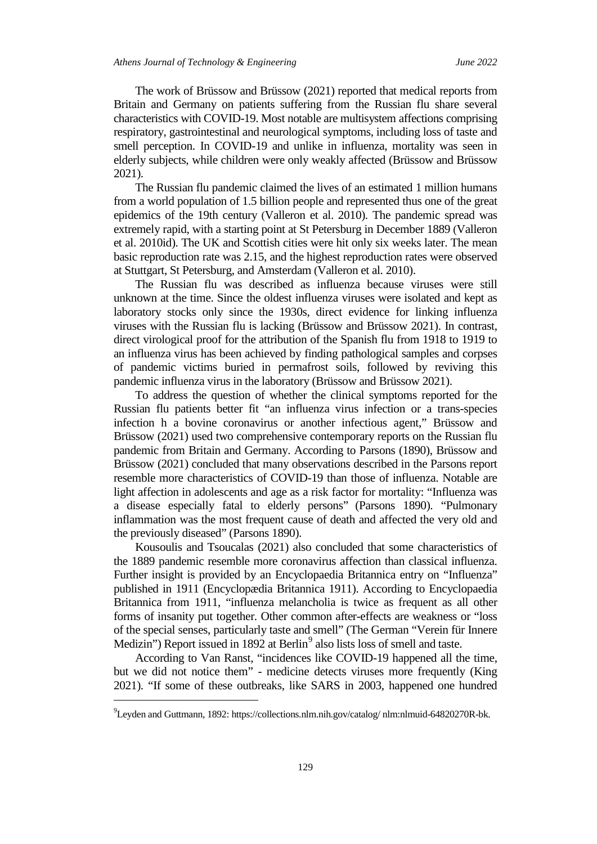The work of Brüssow and Brüssow (2021) reported that medical reports from Britain and Germany on patients suffering from the Russian flu share several characteristics with COVID-19. Most notable are multisystem affections comprising respiratory, gastrointestinal and neurological symptoms, including loss of taste and smell perception. In COVID-19 and unlike in influenza, mortality was seen in elderly subjects, while children were only weakly affected (Brüssow and Brüssow 2021).

The Russian flu pandemic claimed the lives of an estimated 1 million humans from a world population of 1.5 billion people and represented thus one of the great epidemics of the 19th century (Valleron et al. 2010). The pandemic spread was extremely rapid, with a starting point at St Petersburg in December 1889 (Valleron et al. 2010id). The UK and Scottish cities were hit only six weeks later. The mean basic reproduction rate was 2.15, and the highest reproduction rates were observed at Stuttgart, St Petersburg, and Amsterdam (Valleron et al. 2010).

The Russian flu was described as influenza because viruses were still unknown at the time. Since the oldest influenza viruses were isolated and kept as laboratory stocks only since the 1930s, direct evidence for linking influenza viruses with the Russian flu is lacking (Brüssow and Brüssow 2021). In contrast, direct virological proof for the attribution of the Spanish flu from 1918 to 1919 to an influenza virus has been achieved by finding pathological samples and corpses of pandemic victims buried in permafrost soils, followed by reviving this pandemic influenza virus in the laboratory (Brüssow and Brüssow 2021).

To address the question of whether the clinical symptoms reported for the Russian flu patients better fit "an influenza virus infection or a trans-species infection h a bovine coronavirus or another infectious agent," Brüssow and Brüssow (2021) used two comprehensive contemporary reports on the Russian flu pandemic from Britain and Germany. According to Parsons (1890), Brüssow and Brüssow (2021) concluded that many observations described in the Parsons report resemble more characteristics of COVID-19 than those of influenza. Notable are light affection in adolescents and age as a risk factor for mortality: "Influenza was a disease especially fatal to elderly persons" (Parsons 1890). "Pulmonary inflammation was the most frequent cause of death and affected the very old and the previously diseased" (Parsons 1890).

Kousoulis and Tsoucalas (2021) also concluded that some characteristics of the 1889 pandemic resemble more coronavirus affection than classical influenza. Further insight is provided by an Encyclopaedia Britannica entry on "Influenza" published in 1911 (Encyclopædia Britannica 1911). According to Encyclopaedia Britannica from 1911, "influenza melancholia is twice as frequent as all other forms of insanity put together. Other common after-effects are weakness or "loss of the special senses, particularly taste and smell" (The German "Verein für Innere Medizin") Report issued in 18[9](#page-10-0)2 at Berlin<sup>9</sup> also lists loss of smell and taste.

According to Van Ranst, "incidences like COVID-19 happened all the time, but we did not notice them" - medicine detects viruses more frequently (King 2021). "If some of these outbreaks, like SARS in 2003, happened one hundred

<span id="page-10-0"></span><sup>9</sup> Leyden and Guttmann, 1892: https://collections.nlm.nih.gov/catalog/ nlm:nlmuid-64820270R-bk.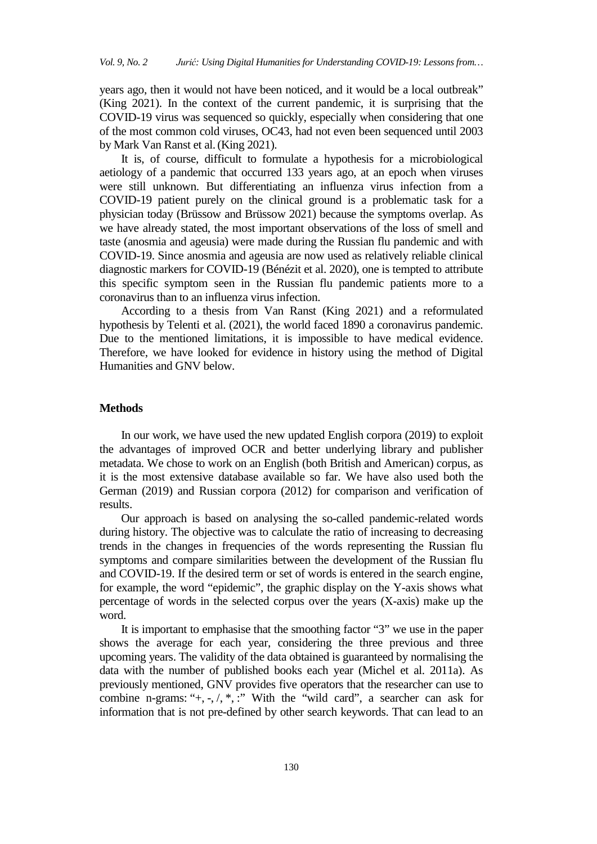years ago, then it would not have been noticed, and it would be a local outbreak" (King 2021). In the context of the current pandemic, it is surprising that the COVID-19 virus was sequenced so quickly, especially when considering that one of the most common cold viruses, OC43, had not even been sequenced until 2003 by Mark Van Ranst et al.(King 2021).

It is, of course, difficult to formulate a hypothesis for a microbiological aetiology of a pandemic that occurred 133 years ago, at an epoch when viruses were still unknown. But differentiating an influenza virus infection from a COVID-19 patient purely on the clinical ground is a problematic task for a physician today (Brüssow and Brüssow 2021) because the symptoms overlap. As we have already stated, the most important observations of the loss of smell and taste (anosmia and ageusia) were made during the Russian flu pandemic and with COVID-19. Since anosmia and ageusia are now used as relatively reliable clinical diagnostic markers for COVID-19 (Bénézit et al. 2020), one is tempted to attribute this specific symptom seen in the Russian flu pandemic patients more to a coronavirus than to an influenza virus infection.

According to a thesis from Van Ranst (King 2021) and a reformulated hypothesis by Telenti et al. (2021), the world faced 1890 a coronavirus pandemic. Due to the mentioned limitations, it is impossible to have medical evidence. Therefore, we have looked for evidence in history using the method of Digital Humanities and GNV below.

### **Methods**

In our work, we have used the new updated English corpora (2019) to exploit the advantages of improved OCR and better underlying library and publisher metadata. We chose to work on an English (both British and American) corpus, as it is the most extensive database available so far. We have also used both the German (2019) and Russian corpora (2012) for comparison and verification of results.

Our approach is based on analysing the so-called pandemic-related words during history. The objective was to calculate the ratio of increasing to decreasing trends in the changes in frequencies of the words representing the Russian flu symptoms and compare similarities between the development of the Russian flu and COVID-19. If the desired term or set of words is entered in the search engine, for example, the word "epidemic", the graphic display on the Y-axis shows what percentage of words in the selected corpus over the years (X-axis) make up the word.

It is important to emphasise that the smoothing factor "3" we use in the paper shows the average for each year, considering the three previous and three upcoming years. The validity of the data obtained is guaranteed by normalising the data with the number of published books each year (Michel et al. 2011a). As previously mentioned, GNV provides five operators that the researcher can use to combine n-grams: " $+, \neg, \neg, \neg, \neg$ " With the "wild card", a searcher can ask for information that is not pre-defined by other search keywords. That can lead to an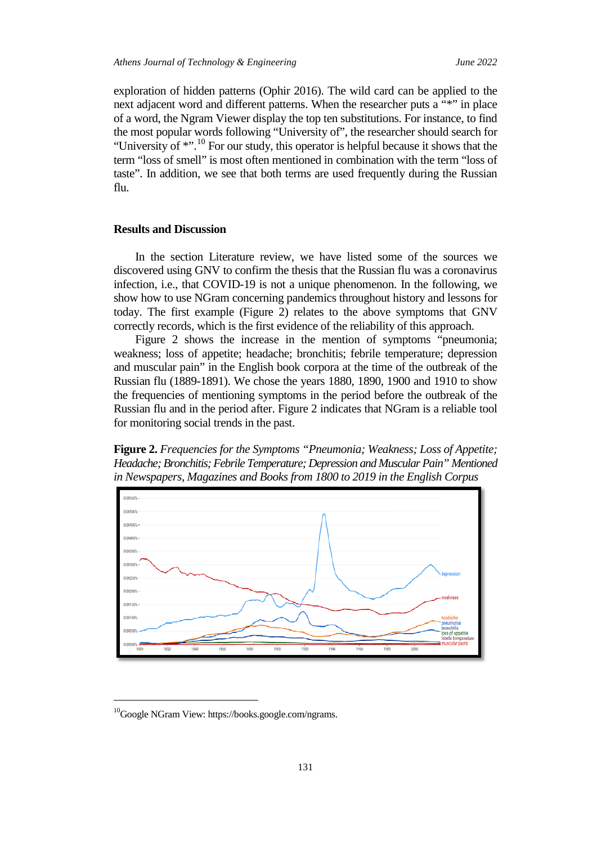exploration of hidden patterns (Ophir 2016). The wild card can be applied to the next adjacent word and different patterns. When the researcher puts a "\*" in place of a word, the Ngram Viewer display the top ten substitutions. For instance, to find the most popular words following "University of", the researcher should search for "University of  $\ast$ "<sup>[10](#page-12-0)</sup> For our study, this operator is helpful because it shows that the term "loss of smell" is most often mentioned in combination with the term "loss of taste". In addition, we see that both terms are used frequently during the Russian flu.

#### **Results and Discussion**

In the section Literature review, we have listed some of the sources we discovered using GNV to confirm the thesis that the Russian flu was a coronavirus infection, i.e., that COVID-19 is not a unique phenomenon. In the following, we show how to use NGram concerning pandemics throughout history and lessons for today. The first example (Figure 2) relates to the above symptoms that GNV correctly records, which is the first evidence of the reliability of this approach.

Figure 2 shows the increase in the mention of symptoms "pneumonia; weakness; loss of appetite; headache; bronchitis; febrile temperature; depression and muscular pain" in the English book corpora at the time of the outbreak of the Russian flu (1889-1891). We chose the years 1880, 1890, 1900 and 1910 to show the frequencies of mentioning symptoms in the period before the outbreak of the Russian flu and in the period after. Figure 2 indicates that NGram is a reliable tool for monitoring social trends in the past.





<span id="page-12-0"></span><sup>&</sup>lt;sup>10</sup>Google NGram View: https://books.google.com/ngrams.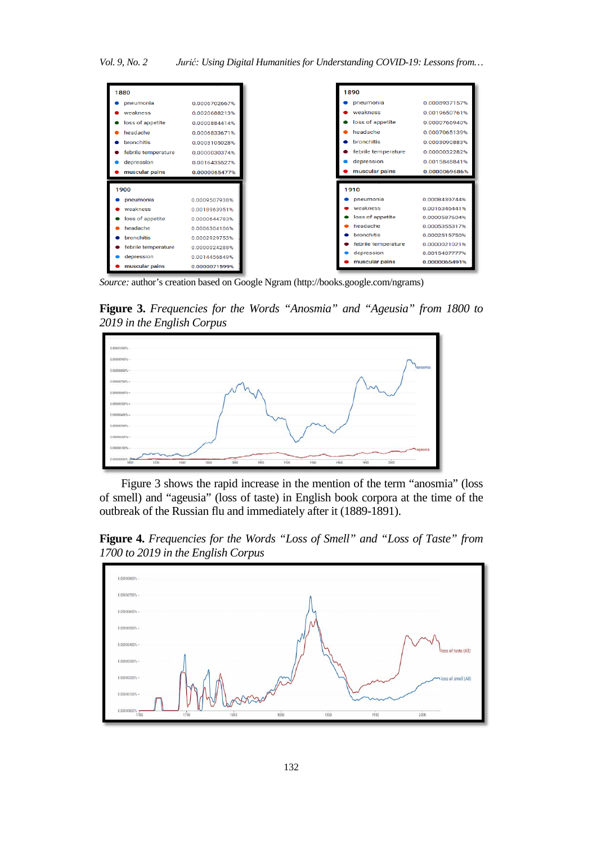| 1880                |               |
|---------------------|---------------|
| pneumonia           | 0.0006702667% |
| weakness            | 0.0020688213% |
| loss of appetite    | 0.0000884414% |
| headache            | 0.0006833671% |
| bronchitis          | 0.0003105028% |
| febrile temperature | 0.0000030374% |
| depression          | 0.0016435527% |
| muscular pains      | 0.0000065477% |
|                     |               |
|                     |               |
| 1900                |               |
| pneumonia           | 0.0009507938% |
| weakness            | 0.0018963951% |
| loss of appetite    | 0.0000644783% |
| headache            | 0.0006304106% |
| <b>bronchitis</b>   | 0.0002929753% |
| febrile temperature | 0.0000024288% |
| depression          | 0.0014456849% |

*Source:* author's creation based on Google Ngram [\(http://books.google.com/ngrams\)](http://books.google.com/ngrams)

**Figure 3.** *Frequencies for the Words "Anosmia" and "Ageusia" from 1800 to 2019 in the English Corpus*



Figure 3 shows the rapid increase in the mention of the term "anosmia" (loss of smell) and "ageusia" (loss of taste) in English book corpora at the time of the outbreak of the Russian flu and immediately after it (1889-1891).

**Figure 4.** *Frequencies for the Words "Loss of Smell" and "Loss of Taste" from 1700 to 2019 in the English Corpus*

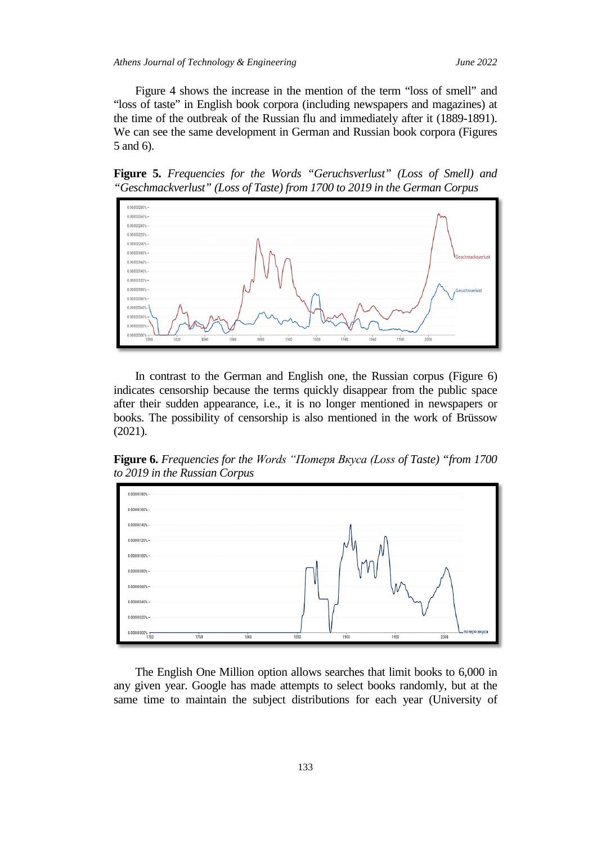Figure 4 shows the increase in the mention of the term "loss of smell" and "loss of taste" in English book corpora (including newspapers and magazines) at the time of the outbreak of the Russian flu and immediately after it (1889-1891). We can see the same development in German and Russian book corpora (Figures 5 and 6).

**Figure 5.** *Frequencies for the Words "Geruchsverlust" (Loss of Smell) and "Geschmackverlust" (Loss of Taste) from 1700 to 2019 in the German Corpus* 



In contrast to the German and English one, the Russian corpus (Figure 6) indicates censorship because the terms quickly disappear from the public space after their sudden appearance, i.e., it is no longer mentioned in newspapers or books. The possibility of censorship is also mentioned in the work of Brüssow (2021).

**Figure 6.** *Frequencies for the Words "Потеря Вкуса (Loss of Taste) "from 1700 to 2019 in the Russian Corpus* 



The English One Million option allows searches that limit books to 6,000 in any given year. Google has made attempts to select books randomly, but at the same time to maintain the subject distributions for each year (University of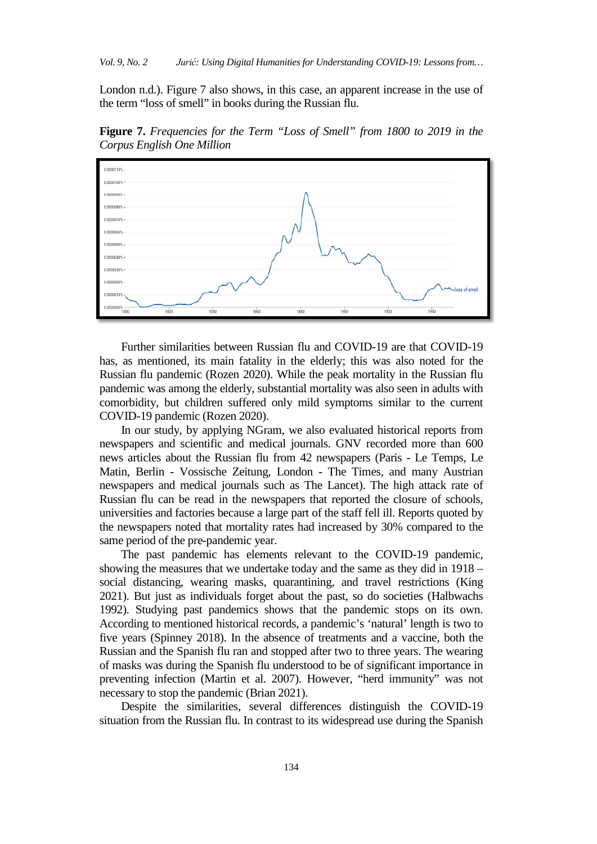London n.d.). Figure 7 also shows, in this case, an apparent increase in the use of the term "loss of smell" in books during the Russian flu.

**Figure 7.** *Frequencies for the Term "Loss of Smell" from 1800 to 2019 in the Corpus English One Million*



Further similarities between Russian flu and COVID-19 are that COVID-19 has, as mentioned, its main fatality in the elderly; this was also noted for the Russian flu pandemic (Rozen 2020). While the peak mortality in the Russian flu pandemic was among the elderly, substantial mortality was also seen in adults with comorbidity, but children suffered only mild symptoms similar to the current COVID-19 pandemic (Rozen 2020).

In our study, by applying NGram, we also evaluated historical reports from newspapers and scientific and medical journals. GNV recorded more than 600 news articles about the Russian flu from 42 newspapers (Paris - Le Temps, Le Matin, Berlin - Vossische Zeitung, London - The Times, and many Austrian newspapers and medical journals such as The Lancet). The high attack rate of Russian flu can be read in the newspapers that reported the closure of schools, universities and factories because a large part of the staff fell ill. Reports quoted by the newspapers noted that mortality rates had increased by 30% compared to the same period of the pre-pandemic year.

The past pandemic has elements relevant to the COVID-19 pandemic, showing the measures that we undertake today and the same as they did in 1918 – social distancing, wearing masks, quarantining, and travel restrictions (King 2021). But just as individuals forget about the past, so do societies (Halbwachs 1992). Studying past pandemics shows that the pandemic stops on its own. According to mentioned historical records, a pandemic's 'natural' length is two to five years (Spinney 2018). In the absence of treatments and a vaccine, both the Russian and the Spanish flu ran and stopped after two to three years. The wearing of masks was during the Spanish flu understood to be of significant importance in preventing infection (Martin et al. 2007). However, "herd immunity" was not necessary to stop the pandemic (Brian 2021).

Despite the similarities, several differences distinguish the COVID-19 situation from the Russian flu. In contrast to its widespread use during the Spanish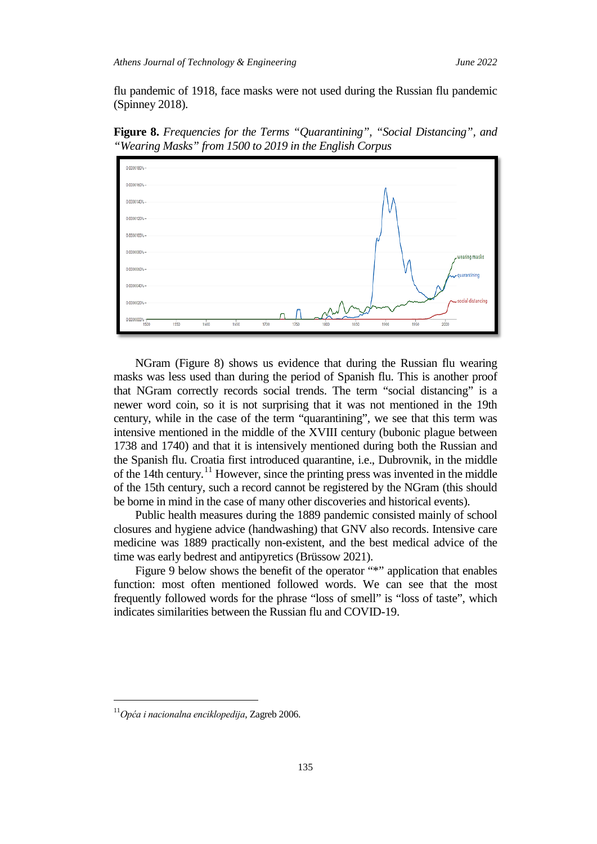flu pandemic of 1918, face masks were not used during the Russian flu pandemic (Spinney 2018).

**Figure 8.** *Frequencies for the Terms "Quarantining", "Social Distancing", and "Wearing Masks" from 1500 to 2019 in the English Corpus*



NGram (Figure 8) shows us evidence that during the Russian flu wearing masks was less used than during the period of Spanish flu. This is another proof that NGram correctly records social trends. The term "social distancing" is a newer word coin, so it is not surprising that it was not mentioned in the 19th century, while in the case of the term "quarantining", we see that this term was intensive mentioned in the middle of the XVIII century (bubonic plague between 1738 and 1740) and that it is intensively mentioned during both the Russian and the Spanish flu. Croatia first introduced quarantine, i.e., Dubrovnik, in the middle of the 14th century.<sup>[11](#page-16-0)</sup> However, since the printing press was invented in the middle of the 15th century, such a record cannot be registered by the NGram (this should be borne in mind in the case of many other discoveries and historical events).

Public health measures during the 1889 pandemic consisted mainly of school closures and hygiene advice (handwashing) that GNV also records. Intensive care medicine was 1889 practically non-existent, and the best medical advice of the time was early bedrest and antipyretics (Brüssow 2021).

Figure 9 below shows the benefit of the operator "\*" application that enables function: most often mentioned followed words. We can see that the most frequently followed words for the phrase "loss of smell" is "loss of taste", which indicates similarities between the Russian flu and COVID-19.

<span id="page-16-0"></span><sup>11</sup>*Opća i nacionalna enciklopedija*, Zagreb 2006.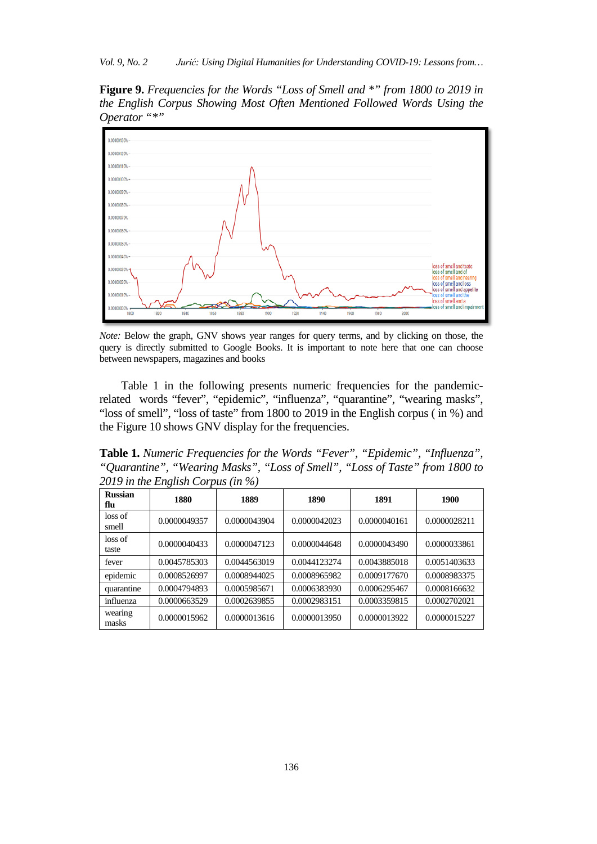**Figure 9.** *Frequencies for the Words "Loss of Smell and \*" from 1800 to 2019 in the English Corpus Showing Most Often Mentioned Followed Words Using the Operator "\*"*



*Note:* Below the graph, GNV shows year ranges for query terms, and by clicking on those, the query is directly submitted to Google Books. It is important to note here that one can choose between newspapers, magazines and books

Table 1 in the following presents numeric frequencies for the pandemicrelated words "fever", "epidemic", "influenza", "quarantine", "wearing masks", "loss of smell", "loss of taste" from 1800 to 2019 in the English corpus ( in %) and the Figure 10 shows GNV display for the frequencies.

**Table 1.** *Numeric Frequencies for the Words "Fever", "Epidemic", "Influenza", "Quarantine", "Wearing Masks", "Loss of Smell", "Loss of Taste" from 1800 to 2019 in the English Corpus (in %)*

| <b>Russian</b><br>flu | 1880         | 1889         | 1890         | 1891         | 1900         |
|-----------------------|--------------|--------------|--------------|--------------|--------------|
| loss of<br>smell      | 0.0000049357 | 0.0000043904 | 0.0000042023 | 0.0000040161 | 0.0000028211 |
| loss of<br>taste      | 0.0000040433 | 0.0000047123 | 0.0000044648 | 0.0000043490 | 0.0000033861 |
| fever                 | 0.0045785303 | 0.0044563019 | 0.0044123274 | 0.0043885018 | 0.0051403633 |
| epidemic              | 0.0008526997 | 0.0008944025 | 0.0008965982 | 0.0009177670 | 0.0008983375 |
| quarantine            | 0.0004794893 | 0.0005985671 | 0.0006383930 | 0.0006295467 | 0.0008166632 |
| influenza             | 0.0000663529 | 0.0002639855 | 0.0002983151 | 0.0003359815 | 0.0002702021 |
| wearing<br>masks      | 0.0000015962 | 0.0000013616 | 0.0000013950 | 0.0000013922 | 0.0000015227 |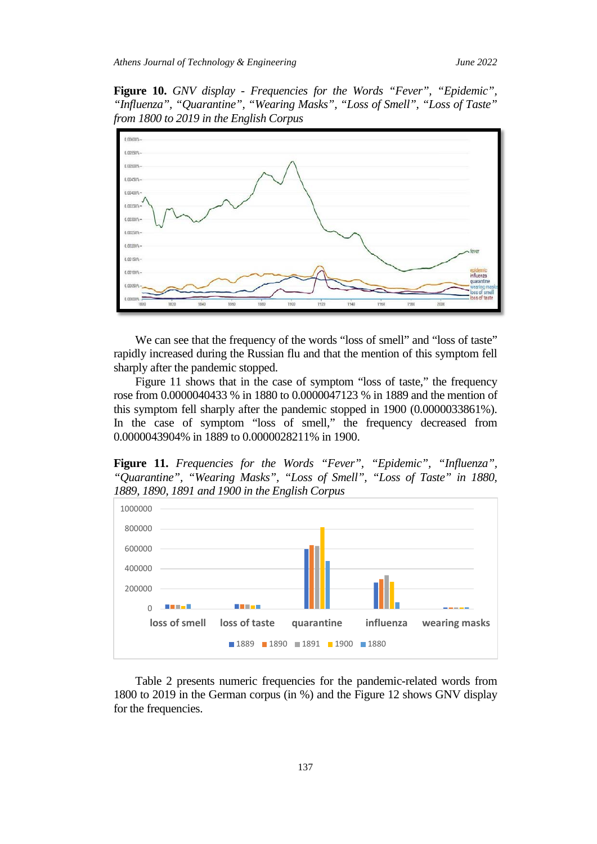**Figure 10.** *GNV display - Frequencies for the Words "Fever", "Epidemic", "Influenza", "Quarantine", "Wearing Masks", "Loss of Smell", "Loss of Taste" from 1800 to 2019 in the English Corpus*



We can see that the frequency of the words "loss of smell" and "loss of taste" rapidly increased during the Russian flu and that the mention of this symptom fell sharply after the pandemic stopped.

Figure 11 shows that in the case of symptom "loss of taste," the frequency rose from 0.0000040433 % in 1880 to 0.0000047123 % in 1889 and the mention of this symptom fell sharply after the pandemic stopped in 1900 (0.0000033861%). In the case of symptom "loss of smell," the frequency decreased from 0.0000043904% in 1889 to 0.0000028211% in 1900.

**Figure 11.** *Frequencies for the Words "Fever", "Epidemic", "Influenza", "Quarantine", "Wearing Masks", "Loss of Smell", "Loss of Taste" in 1880, 1889, 1890, 1891 and 1900 in the English Corpus*



Table 2 presents numeric frequencies for the pandemic-related words from 1800 to 2019 in the German corpus (in %) and the Figure 12 shows GNV display for the frequencies.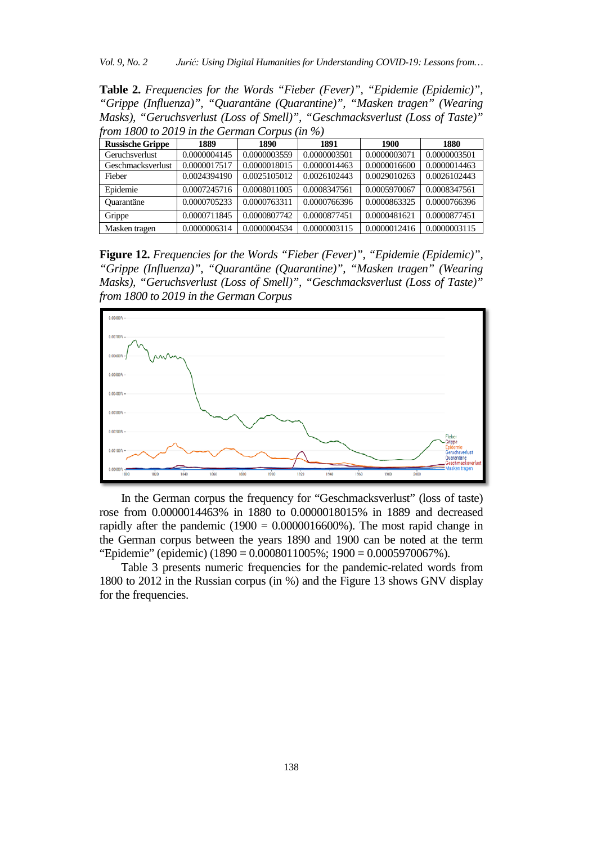*Vol. 9, No. 2 Jurić: Using Digital Humanities for Understanding COVID-19: Lessons from…*

**Table 2.** *Frequencies for the Words "Fieber (Fever)", "Epidemie (Epidemic)", "Grippe (Influenza)", "Quarantäne (Quarantine)", "Masken tragen" (Wearing Masks), "Geruchsverlust (Loss of Smell)", "Geschmacksverlust (Loss of Taste)" from 1800 to 2019 in the German Corpus (in %)*

| <b>Russische Grippe</b> | 1889         | 1890         | 1891         | 1900         | 1880         |
|-------------------------|--------------|--------------|--------------|--------------|--------------|
| <b>Geruchsverlust</b>   | 0.0000004145 | 0.0000003559 | 0.0000003501 | 0.0000003071 | 0.0000003501 |
| Geschmacksverlust       | 0.0000017517 | 0.0000018015 | 0.0000014463 | 0.0000016600 | 0.0000014463 |
| Fieber                  | 0.0024394190 | 0.0025105012 | 0.0026102443 | 0.0029010263 | 0.0026102443 |
| Epidemie                | 0.0007245716 | 0.0008011005 | 0.0008347561 | 0.0005970067 | 0.0008347561 |
| <b>Ouarantäne</b>       | 0.0000705233 | 0.0000763311 | 0.0000766396 | 0.0000863325 | 0.0000766396 |
| Grippe                  | 0.0000711845 | 0.0000807742 | 0.0000877451 | 0.0000481621 | 0.0000877451 |
| Masken tragen           | 0.0000006314 | 0.0000004534 | 0.0000003115 | 0.0000012416 | 0.0000003115 |

**Figure 12.** *Frequencies for the Words "Fieber (Fever)", "Epidemie (Epidemic)", "Grippe (Influenza)", "Quarantäne (Quarantine)", "Masken tragen" (Wearing Masks), "Geruchsverlust (Loss of Smell)", "Geschmacksverlust (Loss of Taste)" from 1800 to 2019 in the German Corpus*



In the German corpus the frequency for "Geschmacksverlust" (loss of taste) rose from 0.0000014463% in 1880 to 0.0000018015% in 1889 and decreased rapidly after the pandemic  $(1900 = 0.0000016600\%)$ . The most rapid change in the German corpus between the years 1890 and 1900 can be noted at the term "Epidemie" (epidemic) (1890 = 0.0008011005%; 1900 = 0.0005970067%).

Table 3 presents numeric frequencies for the pandemic-related words from 1800 to 2012 in the Russian corpus (in %) and the Figure 13 shows GNV display for the frequencies.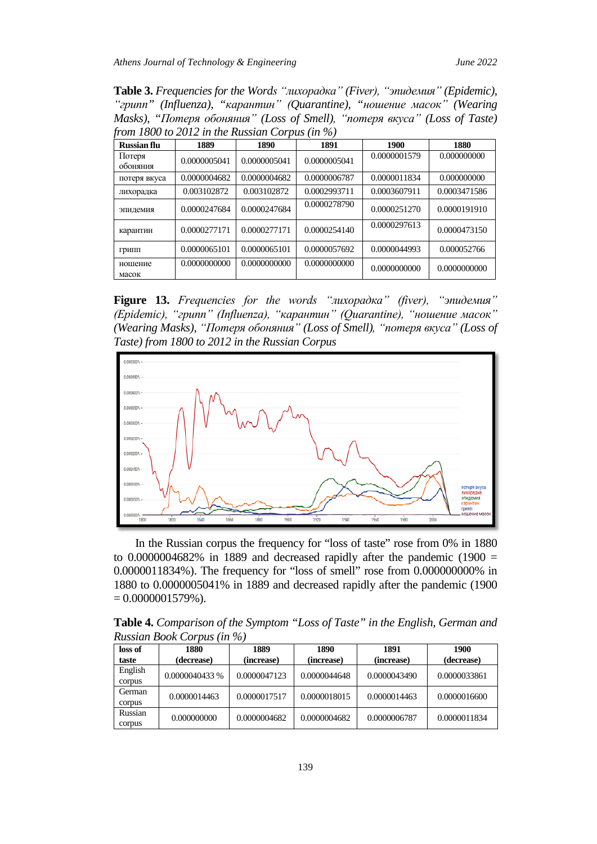**Table 3.** *Frequencies for the Words "лихорадка" (Fiver), "эпидемия" (Epidemic), "грипп" (Influenza), "карантин" (Quarantine), "ношение масок" (Wearing Masks), "Потеря обоняния" (Loss of Smell), "потеря вкуса" (Loss of Taste) from 1800 to 2012 in the Russian Corpus (in %)*

| <b>Russian flu</b> | 1889         | 1890         | 1891         | 1900         | 1880         |
|--------------------|--------------|--------------|--------------|--------------|--------------|
| Потеря<br>обоняния | 0.0000005041 | 0.0000005041 | 0.0000005041 | 0.0000001579 | 0.000000000  |
| потеря вкуса       | 0.0000004682 | 0.0000004682 | 0.0000006787 | 0.0000011834 | 0.000000000  |
| лихорадка          | 0.003102872  | 0.003102872  | 0.0002993711 | 0.0003607911 | 0.0003471586 |
| эпидемия           | 0.0000247684 | 0.0000247684 | 0.0000278790 | 0.0000251270 | 0.0000191910 |
| карантин           | 0.0000277171 | 0.0000277171 | 0.0000254140 | 0.0000297613 | 0.0000473150 |
| Грипп              | 0.0000065101 | 0.0000065101 | 0.0000057692 | 0.0000044993 | 0.000052766  |
| ношение<br>масок   | 0.0000000000 | 0.0000000000 | 0.0000000000 | 0.0000000000 | 0.0000000000 |

**Figure 13.** *Frequencies for the words "лихорадка" (fiver), "эпидемия" (Epidemic), "грипп" (Influenza), "карантин" (Quarantine), "ношение масок" (Wearing Masks), "Потеря обоняния" (Loss of Smell), "потеря вкуса" (Loss of Taste) from 1800 to 2012 in the Russian Corpus*



In the Russian corpus the frequency for "loss of taste" rose from 0% in 1880 to  $0.0000004682\%$  in 1889 and decreased rapidly after the pandemic (1900 = 0.0000011834%). The frequency for "loss of smell" rose from 0.000000000% in 1880 to 0.0000005041% in 1889 and decreased rapidly after the pandemic (1900  $= 0.0000001579\%$ ).

**Table 4.** *Comparison of the Symptom "Loss of Taste" in the English, German and Russian Book Corpus (in %)*

| loss of | 1880           | 1889         | 1890         | 1891         | <b>1900</b>  |
|---------|----------------|--------------|--------------|--------------|--------------|
| taste   | (decrease)     | (increase)   | (increase)   | (increase)   | (decrease)   |
| English | 0.0000040433 % | 0.0000047123 | 0.0000044648 | 0.0000043490 | 0.0000033861 |
| corpus  |                |              |              |              |              |
| German  | 0.0000014463   | 0.0000017517 | 0.0000018015 | 0.0000014463 | 0.0000016600 |
| corpus  |                |              |              |              |              |
| Russian | 0.000000000    | 0.0000004682 | 0.0000004682 | 0.0000006787 | 0.0000011834 |
| corpus  |                |              |              |              |              |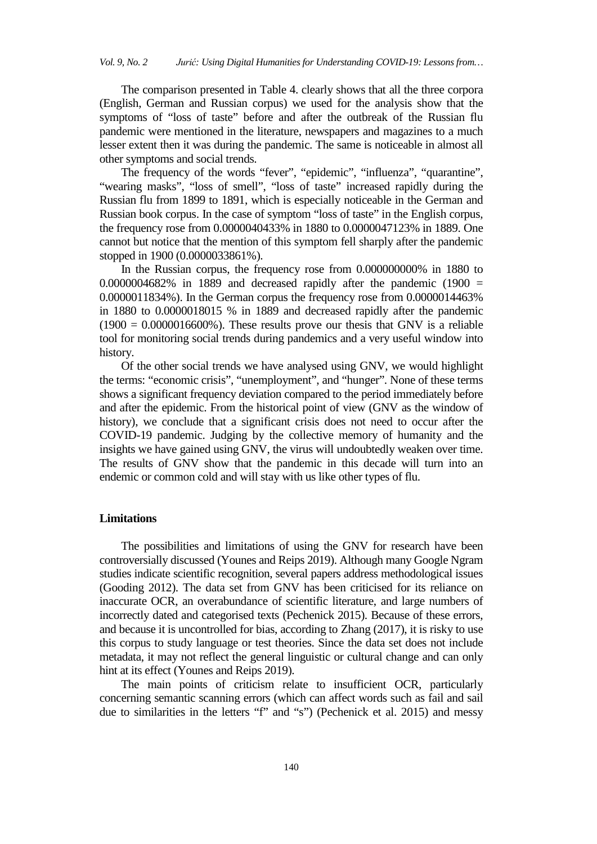The comparison presented in Table 4. clearly shows that all the three corpora (English, German and Russian corpus) we used for the analysis show that the symptoms of "loss of taste" before and after the outbreak of the Russian flu pandemic were mentioned in the literature, newspapers and magazines to a much lesser extent then it was during the pandemic. The same is noticeable in almost all other symptoms and social trends.

The frequency of the words "fever", "epidemic", "influenza", "quarantine", "wearing masks", "loss of smell", "loss of taste" increased rapidly during the Russian flu from 1899 to 1891, which is especially noticeable in the German and Russian book corpus. In the case of symptom "loss of taste" in the English corpus*,*  the frequency rose from 0.0000040433% in 1880 to 0.0000047123% in 1889. One cannot but notice that the mention of this symptom fell sharply after the pandemic stopped in 1900 (0.0000033861%).

In the Russian corpus, the frequency rose from 0.000000000% in 1880 to  $0.0000004682\%$  in 1889 and decreased rapidly after the pandemic (1900 = 0.0000011834%). In the German corpus the frequency rose from 0.0000014463% in 1880 to 0.0000018015 % in 1889 and decreased rapidly after the pandemic  $(1900 = 0.0000016600\%)$ . These results prove our thesis that GNV is a reliable tool for monitoring social trends during pandemics and a very useful window into history.

Of the other social trends we have analysed using GNV, we would highlight the terms: "economic crisis", "unemployment", and "hunger". None of these terms shows a significant frequency deviation compared to the period immediately before and after the epidemic. From the historical point of view (GNV as the window of history), we conclude that a significant crisis does not need to occur after the COVID-19 pandemic. Judging by the collective memory of humanity and the insights we have gained using GNV, the virus will undoubtedly weaken over time. The results of GNV show that the pandemic in this decade will turn into an endemic or common cold and will stay with us like other types of flu.

## **Limitations**

The possibilities and limitations of using the GNV for research have been controversially discussed (Younes and Reips 2019). Although many Google Ngram studies indicate scientific recognition, several papers address methodological issues (Gooding 2012). The data set from GNV has been criticised for its reliance on inaccurate OCR, an overabundance of scientific literature, and large numbers of incorrectly dated and categorised texts (Pechenick 2015). Because of these errors, and because it is uncontrolled for bias, according to Zhang (2017), it is risky to use this corpus to study language or test theories. Since the data set does not include metadata, it may not reflect the general linguistic or cultural change and can only hint at its effect (Younes and Reips 2019).

The main points of criticism relate to insufficient OCR, particularly concerning semantic scanning errors (which can affect words such as fail and sail due to similarities in the letters "f" and "s") (Pechenick et al. 2015) and messy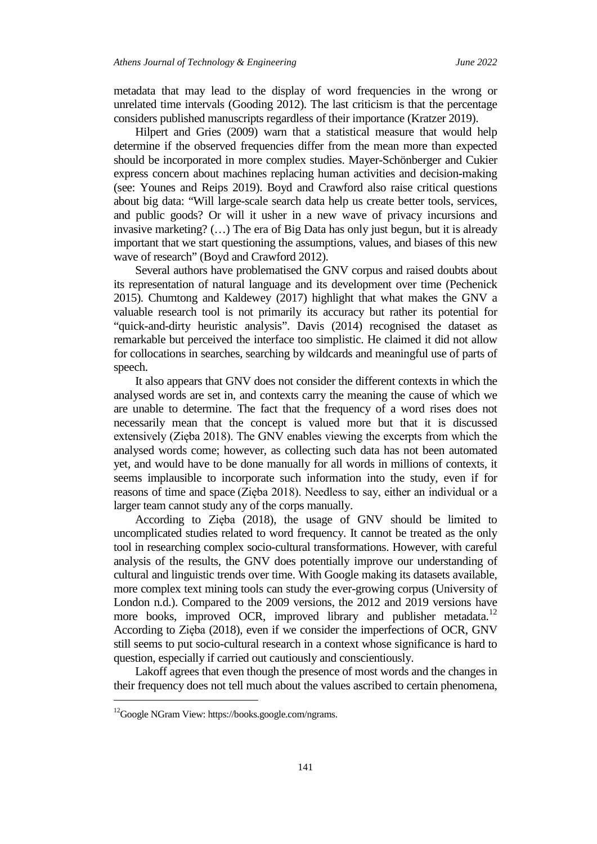metadata that may lead to the display of word frequencies in the wrong or unrelated time intervals (Gooding 2012). The last criticism is that the percentage considers published manuscripts regardless of their importance (Kratzer 2019).

Hilpert and Gries (2009) warn that a statistical measure that would help determine if the observed frequencies differ from the mean more than expected should be incorporated in more complex studies. Mayer-Schönberger and Cukier express concern about machines replacing human activities and decision-making (see: Younes and Reips 2019). Boyd and Crawford also raise critical questions about big data: "Will large-scale search data help us create better tools, services, and public goods? Or will it usher in a new wave of privacy incursions and invasive marketing? (…) The era of Big Data has only just begun, but it is already important that we start questioning the assumptions, values, and biases of this new wave of research" (Boyd and Crawford 2012).

Several authors have problematised the GNV corpus and raised doubts about its representation of natural language and its development over time (Pechenick 2015). Chumtong and Kaldewey (2017) highlight that what makes the GNV a valuable research tool is not primarily its accuracy but rather its potential for "quick-and-dirty heuristic analysis". Davis (2014) recognised the dataset as remarkable but perceived the interface too simplistic. He claimed it did not allow for collocations in searches, searching by wildcards and meaningful use of parts of speech.

It also appears that GNV does not consider the different contexts in which the analysed words are set in, and contexts carry the meaning the cause of which we are unable to determine. The fact that the frequency of a word rises does not necessarily mean that the concept is valued more but that it is discussed extensively (Zięba 2018). The GNV enables viewing the excerpts from which the analysed words come; however, as collecting such data has not been automated yet, and would have to be done manually for all words in millions of contexts, it seems implausible to incorporate such information into the study, even if for reasons of time and space (Zięba 2018). Needless to say, either an individual or a larger team cannot study any of the corps manually.

According to Zięba (2018), the usage of GNV should be limited to uncomplicated studies related to word frequency. It cannot be treated as the only tool in researching complex socio-cultural transformations. However, with careful analysis of the results, the GNV does potentially improve our understanding of cultural and linguistic trends over time. With Google making its datasets available, more complex text mining tools can study the ever-growing corpus (University of London n.d.). Compared to the 2009 versions, the 2012 and 2019 versions have more books, improved OCR, improved library and publisher metadata.<sup>[12](#page-22-0)</sup> According to Zięba (2018), even if we consider the imperfections of OCR, GNV still seems to put socio-cultural research in a context whose significance is hard to question, especially if carried out cautiously and conscientiously.

Lakoff agrees that even though the presence of most words and the changes in their frequency does not tell much about the values ascribed to certain phenomena,

<span id="page-22-0"></span><sup>&</sup>lt;sup>12</sup>Google NGram View: https://books.google.com/ngrams.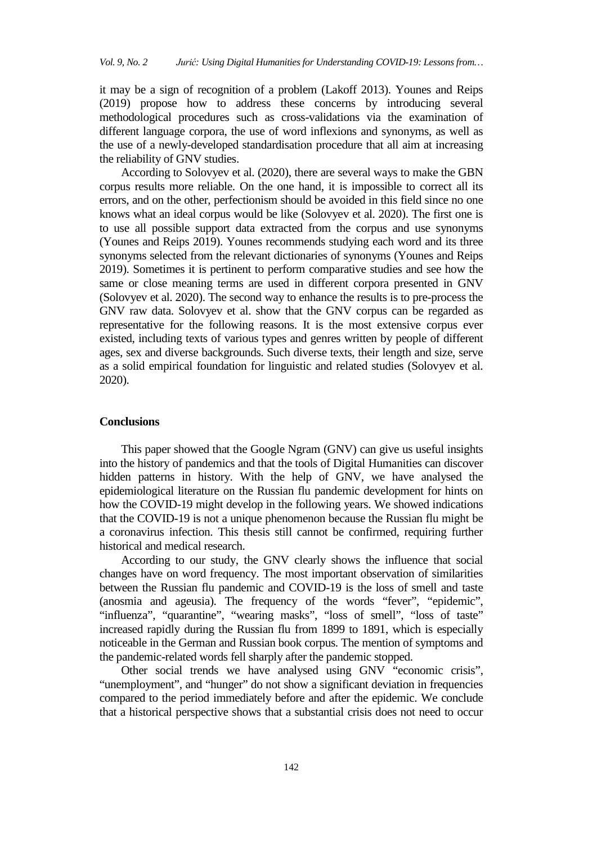it may be a sign of recognition of a problem (Lakoff 2013). Younes and Reips (2019) propose how to address these concerns by introducing several methodological procedures such as cross-validations via the examination of different language corpora, the use of word inflexions and synonyms, as well as the use of a newly-developed standardisation procedure that all aim at increasing the reliability of GNV studies.

According to Solovyev et al. (2020), there are several ways to make the GBN corpus results more reliable. On the one hand, it is impossible to correct all its errors, and on the other, perfectionism should be avoided in this field since no one knows what an ideal corpus would be like (Solovyev et al. 2020). The first one is to use all possible support data extracted from the corpus and use synonyms (Younes and Reips 2019). Younes recommends studying each word and its three synonyms selected from the relevant dictionaries of synonyms (Younes and Reips 2019). Sometimes it is pertinent to perform comparative studies and see how the same or close meaning terms are used in different corpora presented in GNV (Solovyev et al. 2020). The second way to enhance the results is to pre-process the GNV raw data. Solovyev et al. show that the GNV corpus can be regarded as representative for the following reasons. It is the most extensive corpus ever existed, including texts of various types and genres written by people of different ages, sex and diverse backgrounds. Such diverse texts, their length and size, serve as a solid empirical foundation for linguistic and related studies (Solovyev et al. 2020).

## **Conclusions**

This paper showed that the Google Ngram (GNV) can give us useful insights into the history of pandemics and that the tools of Digital Humanities can discover hidden patterns in history. With the help of GNV, we have analysed the epidemiological literature on the Russian flu pandemic development for hints on how the COVID-19 might develop in the following years. We showed indications that the COVID-19 is not a unique phenomenon because the Russian flu might be a coronavirus infection. This thesis still cannot be confirmed, requiring further historical and medical research.

According to our study, the GNV clearly shows the influence that social changes have on word frequency. The most important observation of similarities between the Russian flu pandemic and COVID-19 is the loss of smell and taste (anosmia and ageusia). The frequency of the words "fever", "epidemic", "influenza", "quarantine", "wearing masks", "loss of smell", "loss of taste" increased rapidly during the Russian flu from 1899 to 1891, which is especially noticeable in the German and Russian book corpus. The mention of symptoms and the pandemic-related words fell sharply after the pandemic stopped.

Other social trends we have analysed using GNV "economic crisis", "unemployment", and "hunger" do not show a significant deviation in frequencies compared to the period immediately before and after the epidemic. We conclude that a historical perspective shows that a substantial crisis does not need to occur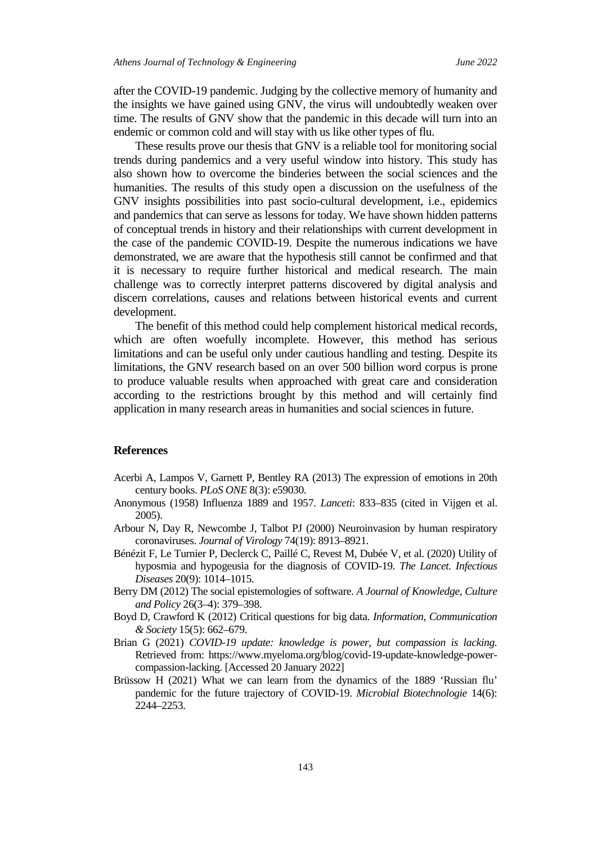after the COVID-19 pandemic. Judging by the collective memory of humanity and the insights we have gained using GNV, the virus will undoubtedly weaken over time. The results of GNV show that the pandemic in this decade will turn into an endemic or common cold and will stay with us like other types of flu.

These results prove our thesis that GNV is a reliable tool for monitoring social trends during pandemics and a very useful window into history. This study has also shown how to overcome the binderies between the social sciences and the humanities. The results of this study open a discussion on the usefulness of the GNV insights possibilities into past socio-cultural development, i.e., epidemics and pandemics that can serve as lessons for today. We have shown hidden patterns of conceptual trends in history and their relationships with current development in the case of the pandemic COVID-19. Despite the numerous indications we have demonstrated, we are aware that the hypothesis still cannot be confirmed and that it is necessary to require further historical and medical research. The main challenge was to correctly interpret patterns discovered by digital analysis and discern correlations, causes and relations between historical events and current development.

The benefit of this method could help complement historical medical records, which are often woefully incomplete. However, this method has serious limitations and can be useful only under cautious handling and testing. Despite its limitations, the GNV research based on an over 500 billion word corpus is prone to produce valuable results when approached with great care and consideration according to the restrictions brought by this method and will certainly find application in many research areas in humanities and social sciences in future.

### **References**

- Acerbi A, Lampos V, Garnett P, Bentley RA (2013) The expression of emotions in 20th century books. *PLoS ONE* 8(3): e59030.
- Anonymous (1958) Influenza 1889 and 1957. *Lanceti*: 833–835 (cited in Vijgen et al. 2005).
- Arbour N, Day R, Newcombe J, Talbot PJ (2000) Neuroinvasion by human respiratory coronaviruses. *Journal of Virology* 74(19): 8913–8921.
- Bénézit F, Le Turnier P, Declerck C, Paillé C, Revest M, Dubée V, et al. (2020) Utility of hyposmia and hypogeusia for the diagnosis of COVID-19. *The Lancet. Infectious Diseases* 20(9): 1014–1015.
- Berry DM (2012) The social epistemologies of software. *A Journal of Knowledge, Culture and Policy* 26(3–4): 379–398.
- Boyd D, Crawford K (2012) Critical questions for big data. *Information, Communication & Society* 15(5): 662–679.
- Brian G (2021) *COVID-19 update: knowledge is power, but compassion is lacking.*  Retrieved from: https://www.myeloma.org/blog/covid-19-update-knowledge-powercompassion-lacking. [Accessed 20 January 2022]
- Brüssow H (2021) What we can learn from the dynamics of the 1889 'Russian flu' pandemic for the future trajectory of COVID-19. *Microbial Biotechnologie* 14(6): 2244–2253.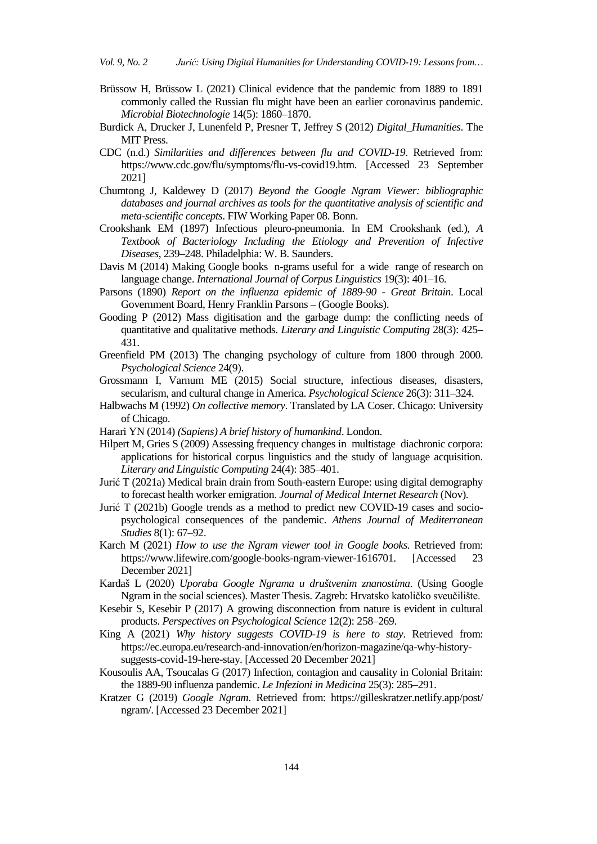- Brüssow H, Brüssow L (2021) Clinical evidence that the pandemic from 1889 to 1891 commonly called the Russian flu might have been an earlier coronavirus pandemic. *Microbial Biotechnologie* 14(5): 1860–1870.
- Burdick A, Drucker J, Lunenfeld P, Presner T, Jeffrey S (2012) *Digital\_Humanities*. The MIT Press.
- CDC (n.d.) *Similarities and differences between flu and COVID-19*. Retrieved from: [https://www.cdc.gov/flu/symptoms/flu-vs-covid19.htm.](https://www.cdc.gov/flu/symptoms/flu-vs-covid19.htm) [Accessed 23 September 2021]
- Chumtong J, Kaldewey D (2017) *Beyond the Google Ngram Viewer: bibliographic databases and journal archives as tools for the quantitative analysis of scientific and meta-scientific concepts*. FIW Working Paper 08. Bonn.
- Crookshank EM (1897) Infectious pleuro-pneumonia. In EM Crookshank (ed.), *A Textbook of Bacteriology Including the Etiology and Prevention of Infective Diseases*, 239–248. Philadelphia: W. B. Saunders.
- Davis M (2014) Making Google books n-grams useful for a wide range of research on language change. *International Journal of Corpus Linguistics* 19(3): 401–16.
- Parsons (1890) *Report on the influenza epidemic of 1889-90 - Great Britain*. Local Government Board, Henry Franklin Parsons – (Google Books).
- Gooding P (2012) Mass digitisation and the garbage dump: the conflicting needs of quantitative and qualitative methods. *Literary and Linguistic Computing* 28(3): 425– 431.
- Greenfield PM (2013) The changing psychology of culture from 1800 through 2000. *Psychological Science* 24(9).
- Grossmann I, Varnum ME (2015) Social structure, infectious diseases, disasters, secularism, and cultural change in America. *Psychological Science* 26(3): 311–324.
- Halbwachs M (1992) *On collective memory*. Translated by LA Coser. Chicago: University of Chicago.
- Harari YN (2014) *(Sapiens) A brief history of humankind*. London.
- Hilpert M, Gries S (2009) Assessing frequency changes in multistage diachronic corpora: applications for historical corpus linguistics and the study of language acquisition. *Literary and Linguistic Computing* 24(4): 385–401.
- Jurić T (2021a) Medical brain drain from South-eastern Europe: using digital demography to forecast health worker emigration. *Journal of Medical Internet Research* (Nov).
- Jurić T (2021b) Google trends as a method to predict new COVID-19 cases and sociopsychological consequences of the pandemic. *Athens Journal of Mediterranean Studies* 8(1): 67–92.
- Karch M (2021) *How to use the Ngram viewer tool in Google books.* Retrieved from: https://www.lifewire.com/google-books-ngram-viewer-1616701. [Accessed 23 December 2021]
- Kardaš L (2020) *Uporaba Google Ngrama u društvenim znanostima*. (Using Google Ngram in the social sciences). Master Thesis. Zagreb: Hrvatsko katoličko sveučilište.
- Kesebir S, Kesebir P (2017) A growing disconnection from nature is evident in cultural products. *Perspectives on Psychological Science* 12(2): 258–269.
- King A (2021) *Why history suggests COVID-19 is here to stay*. Retrieved from: https://ec.europa.eu/research-and-innovation/en/horizon-magazine/qa-why-historysuggests-covid-19-here-stay. [Accessed 20 December 2021]
- Kousoulis AA, Tsoucalas G (2017) Infection, contagion and causality in Colonial Britain: the 1889-90 influenza pandemic. *Le Infezioni in Medicina* 25(3): 285–291.
- Kratzer G (2019) *Google Ngram*. Retrieved from: https://gilleskratzer.netlify.app/post/ ngram/. [Accessed 23 December 2021]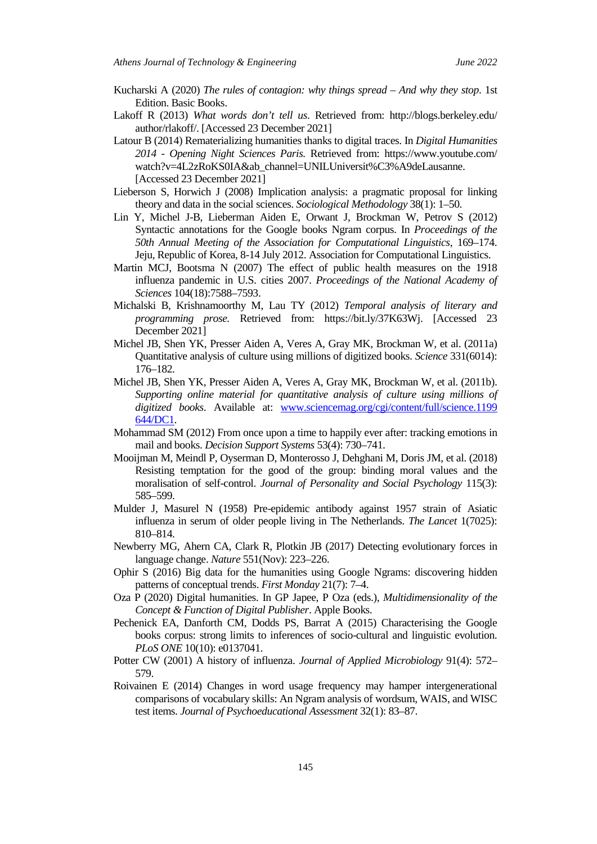- Kucharski A (2020) *The rules of contagion: why things spread – And why they stop*. 1st Edition. Basic Books.
- Lakoff R (2013) *What words don't tell us*. Retrieved from: http://blogs.berkeley.edu/ author/rlakoff/. [Accessed 23 December 2021]
- Latour B (2014) Rematerializing humanities thanks to digital traces. In *Digital Humanities 2014 - Opening Night Sciences Paris.* Retrieved from: https://www.youtube.com/ watch?v=4L2zRoKS0IA&ab\_channel=UNILUniversit%C3%A9deLausanne. [Accessed 23 December 2021]
- Lieberson S, Horwich J (2008) Implication analysis: a pragmatic proposal for linking theory and data in the social sciences. *Sociological Methodology* 38(1): 1–50.
- Lin Y, Michel J-B, Lieberman Aiden E, Orwant J, Brockman W, Petrov S (2012) Syntactic annotations for the Google books Ngram corpus. In *Proceedings of the 50th Annual Meeting of the Association for Computational Linguistics*, 169–174. Jeju, Republic of Korea, 8-14 July 2012. Association for Computational Linguistics.
- Martin MCJ, Bootsma N (2007) The effect of public health measures on the 1918 influenza pandemic in U.S. cities 2007. *Proceedings of the National Academy of Sciences* 104(18):7588–7593.
- Michalski B, Krishnamoorthy M, Lau TY (2012) *Temporal analysis of literary and programming prose.* Retrieved from: [https://bit.ly/37K63Wj.](https://bit.ly/37K63Wj) [Accessed 23 December 2021]
- Michel JB, Shen YK, Presser Aiden A, Veres A, Gray MK, Brockman W, et al. (2011a) Quantitative analysis of culture using millions of digitized books. *Science* 331(6014): 176–182.
- Michel JB, Shen YK, Presser Aiden A, Veres A, Gray MK, Brockman W, et al. (2011b). *Supporting online material for quantitative analysis of culture using millions of digitized books*. Available at: [www.sciencemag.org/cgi/content/full/science.1199](http://www.sciencemag.org/cgi/content/full/science.1199%20644/DC1)  [644/DC1.](http://www.sciencemag.org/cgi/content/full/science.1199%20644/DC1)
- Mohammad SM (2012) From once upon a time to happily ever after: tracking emotions in mail and books. *Decision Support Systems* 53(4): 730–741.
- Mooijman M, Meindl P, Oyserman D, Monterosso J, Dehghani M, Doris JM, et al. (2018) Resisting temptation for the good of the group: binding moral values and the moralisation of self-control. *Journal of Personality and Social Psychology* 115(3): 585–599.
- Mulder J, Masurel N (1958) Pre-epidemic antibody against 1957 strain of Asiatic influenza in serum of older people living in The Netherlands. *The Lancet* 1(7025): 810–814.
- Newberry MG, Ahern CA, Clark R, Plotkin JB (2017) Detecting evolutionary forces in language change. *Nature* 551(Nov): 223–226.
- Ophir S (2016) Big data for the humanities using Google Ngrams: discovering hidden patterns of conceptual trends. *First Monday* 21(7): 7–4.
- Oza P (2020) Digital humanities. In GP Japee, P Oza (eds.), *Multidimensionality of the Concept & Function of Digital Publisher*. Apple Books.
- Pechenick EA, Danforth CM, Dodds PS, Barrat A (2015) Characterising the Google books corpus: strong limits to inferences of socio-cultural and linguistic evolution. *PLoS ONE* 10(10): e0137041.
- Potter CW (2001) A history of influenza. *Journal of Applied Microbiology* 91(4): 572– 579.
- Roivainen E (2014) Changes in word usage frequency may hamper intergenerational comparisons of vocabulary skills: An Ngram analysis of wordsum, WAIS, and WISC test items. *Journal of Psychoeducational Assessment* 32(1): 83–87.